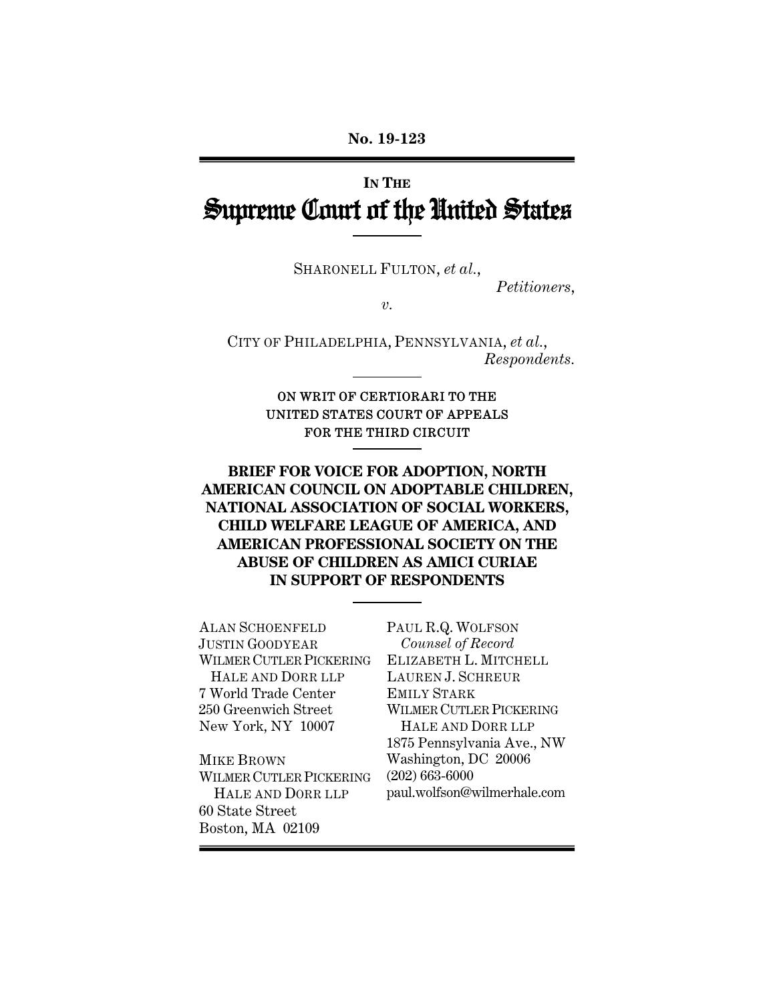# **IN THE** Supreme Court of the United States

SHARONELL FULTON, *et al.*,

*Petitioners*,

 $\overline{\nu}$ .

CITY OF PHILADELPHIA, PENNSYLVANIA, *et al.*, *Respondents.*

> ON WRIT OF CERTIORARI TO THE UNITED STATES COURT OF APPEALS FOR THE THIRD CIRCUIT

**BRIEF FOR VOICE FOR ADOPTION, NORTH AMERICAN COUNCIL ON ADOPTABLE CHILDREN, NATIONAL ASSOCIATION OF SOCIAL WORKERS, CHILD WELFARE LEAGUE OF AMERICA, AND AMERICAN PROFESSIONAL SOCIETY ON THE ABUSE OF CHILDREN AS AMICI CURIAE IN SUPPORT OF RESPONDENTS** 

ALAN SCHOENFELD JUSTIN GOODYEAR WILMER CUTLER PICKERING HALE AND DORR LLP 7 World Trade Center 250 Greenwich Street New York, NY 10007 MIKE BROWN

WILMER CUTLER PICKERING HALE AND DORR LLP 60 State Street Boston, MA 02109

PAUL R.Q. WOLFSON *Counsel of Record* ELIZABETH L. MITCHELL LAUREN J. SCHREUR EMILY STARK WILMER CUTLER PICKERING HALE AND DORR LLP 1875 Pennsylvania Ave., NW Washington, DC 20006 (202) 663-6000 paul.wolfson@wilmerhale.com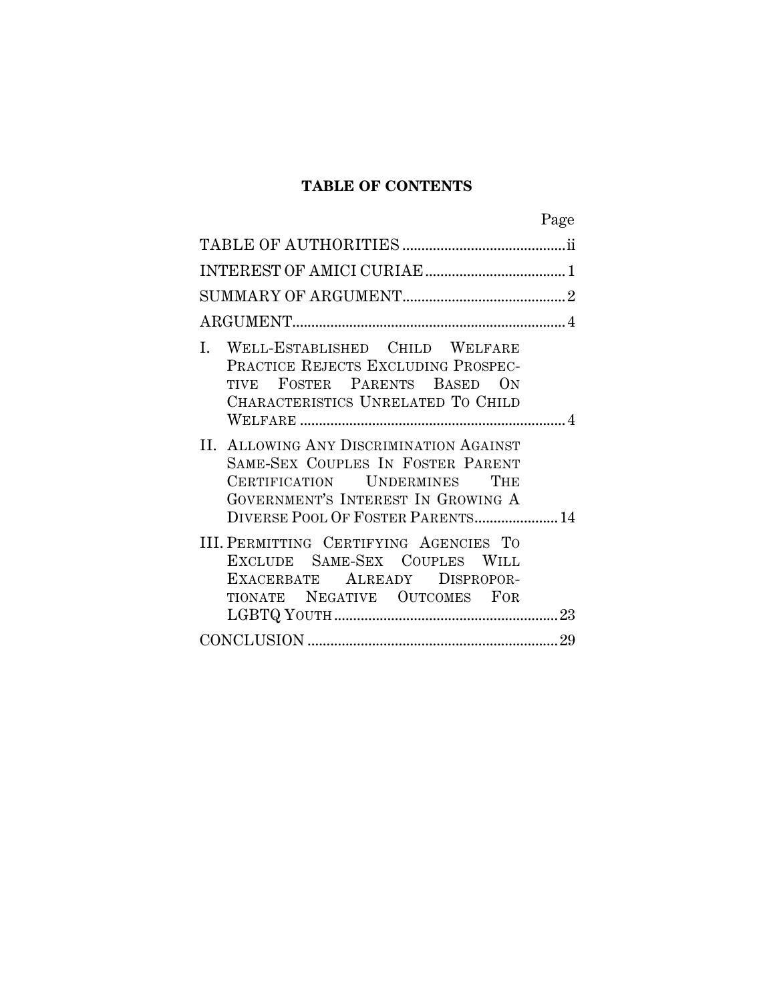### **TABLE OF CONTENTS**

|                                                                                                                                                                                         | Page |
|-----------------------------------------------------------------------------------------------------------------------------------------------------------------------------------------|------|
|                                                                                                                                                                                         |      |
|                                                                                                                                                                                         |      |
|                                                                                                                                                                                         |      |
|                                                                                                                                                                                         |      |
| I. WELL-ESTABLISHED CHILD WELFARE<br>PRACTICE REJECTS EXCLUDING PROSPEC-<br>TIVE FOSTER PARENTS BASED ON<br>CHARACTERISTICS UNRELATED TO CHILD                                          |      |
| II. ALLOWING ANY DISCRIMINATION AGAINST<br>SAME-SEX COUPLES IN FOSTER PARENT<br>CERTIFICATION UNDERMINES THE<br>GOVERNMENT'S INTEREST IN GROWING A<br>DIVERSE POOL OF FOSTER PARENTS 14 |      |
| III. PERMITTING CERTIFYING AGENCIES TO<br>EXCLUDE SAME-SEX COUPLES WILL<br>EXACERBATE ALREADY DISPROPOR-<br>TIONATE NEGATIVE OUTCOMES FOR                                               |      |
|                                                                                                                                                                                         |      |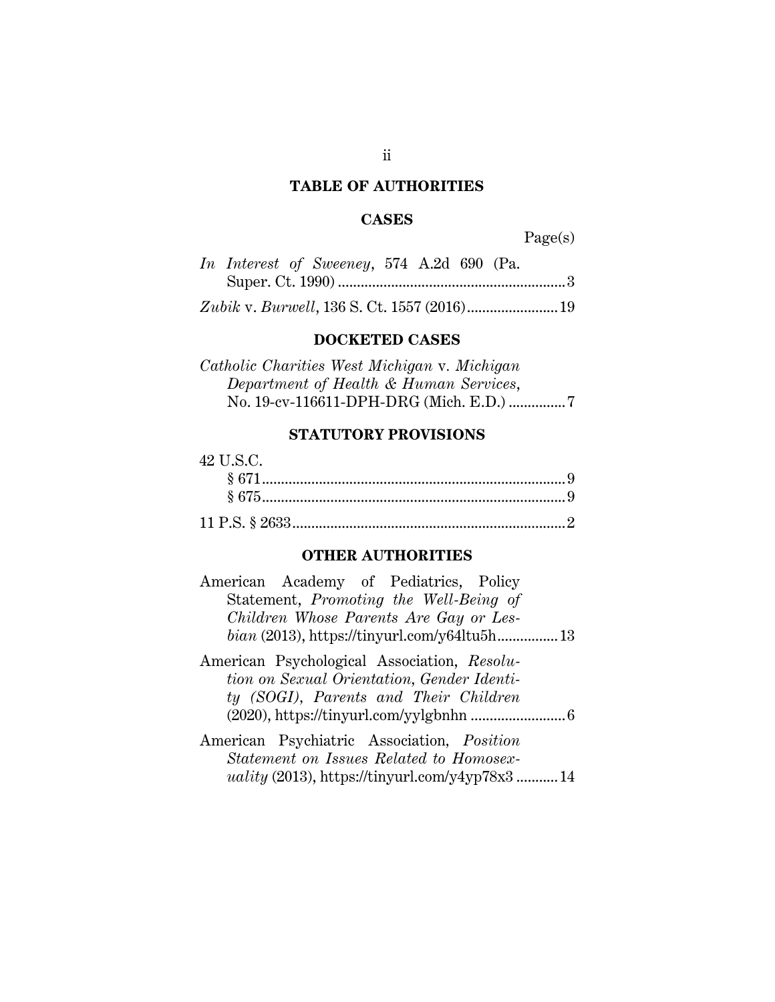#### **TABLE OF AUTHORITIES**

#### **CASES**

Page(s)

|  | In Interest of Sweeney, 574 A.2d 690 (Pa.                                                                                                                                                                                                                                                                                                                                            |  |  |  |
|--|--------------------------------------------------------------------------------------------------------------------------------------------------------------------------------------------------------------------------------------------------------------------------------------------------------------------------------------------------------------------------------------|--|--|--|
|  |                                                                                                                                                                                                                                                                                                                                                                                      |  |  |  |
|  | $\overline{11}$ $\overline{1}$ $\overline{2}$ $\overline{2}$ $\overline{1}$ $\overline{2}$ $\overline{1}$ $\overline{2}$ $\overline{2}$ $\overline{2}$ $\overline{2}$ $\overline{2}$ $\overline{2}$ $\overline{2}$ $\overline{2}$ $\overline{2}$ $\overline{2}$ $\overline{2}$ $\overline{2}$ $\overline{2}$ $\overline{2}$ $\overline{2}$ $\overline{2}$ $\overline{2}$ $\overline$ |  |  |  |

*Zubik* v. *Burwell*, 136 S. Ct. 1557 (2016) ........................ 19

#### **DOCKETED CASES**

*Catholic Charities West Michigan* v*. Michigan Department of Health & Human Services*, No. 19-cv-116611-DPH-DRG (Mich. E.D.) ............... 7

#### **STATUTORY PROVISIONS**

| 42 U.S.C. |  |
|-----------|--|
|           |  |
|           |  |
|           |  |

#### **OTHER AUTHORITIES**

| American Academy of Pediatrics, Policy<br>Statement, Promoting the Well-Being of                                                   |  |
|------------------------------------------------------------------------------------------------------------------------------------|--|
| Children Whose Parents Are Gay or Les-                                                                                             |  |
| American Psychological Association, Resolu-<br>tion on Sexual Orientation, Gender Identi-<br>ty (SOGI), Parents and Their Children |  |
| American Psychiatric Association, Position<br>Statement on Issues Related to Homosex-                                              |  |
| <i>uality</i> (2013), https://tinyurl.com/y4yp78x3 14                                                                              |  |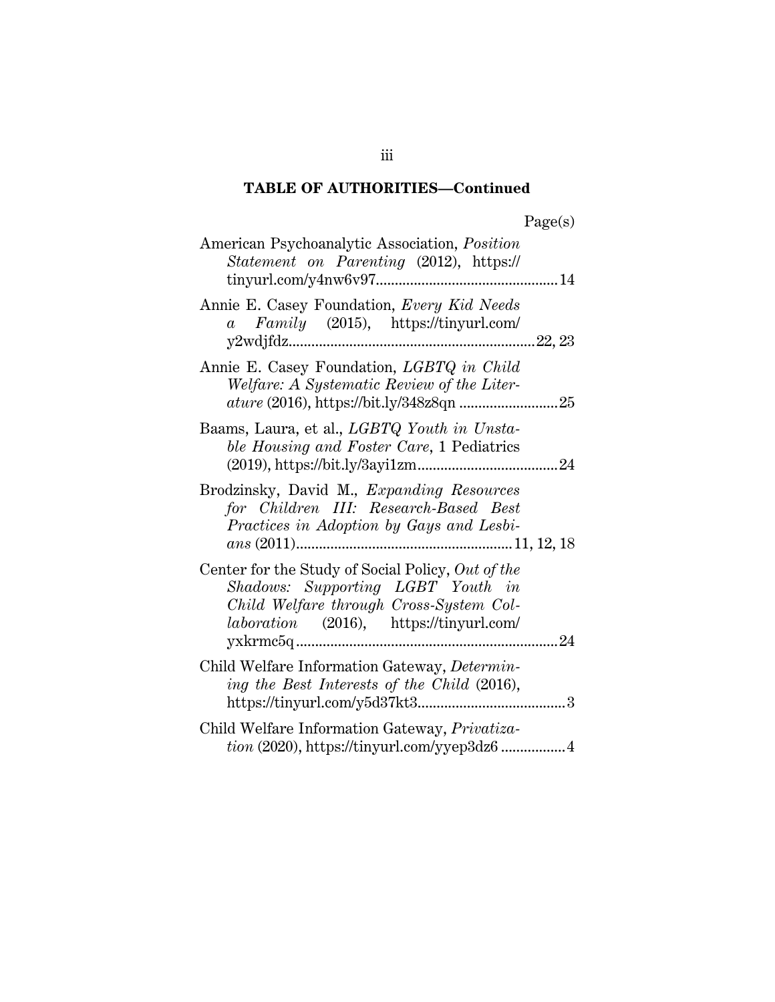| rage(s) |
|---------|
|---------|

| American Psychoanalytic Association, Position<br>Statement on Parenting (2012), https://                                                                                            |  |
|-------------------------------------------------------------------------------------------------------------------------------------------------------------------------------------|--|
| Annie E. Casey Foundation, Every Kid Needs<br>$a \quad Family \quad (2015), \quad \text{https://tinyurl.com/}$                                                                      |  |
| Annie E. Casey Foundation, LGBTQ in Child<br>Welfare: A Systematic Review of the Liter-                                                                                             |  |
| Baams, Laura, et al., LGBTQ Youth in Unsta-<br>ble Housing and Foster Care, 1 Pediatrics                                                                                            |  |
| Brodzinsky, David M., Expanding Resources<br>for Children III: Research-Based Best<br>Practices in Adoption by Gays and Lesbi-                                                      |  |
| Center for the Study of Social Policy, Out of the<br>Shadows: Supporting LGBT Youth in<br>Child Welfare through Cross-System Col-<br><i>laboration</i> (2016), https://tinyurl.com/ |  |
| Child Welfare Information Gateway, Determin-<br>ing the Best Interests of the Child (2016),                                                                                         |  |
| Child Welfare Information Gateway, Privatiza-<br>$tion (2020), <a href="https://tiny.cr.com/ypep3dz614</a>$                                                                         |  |

iii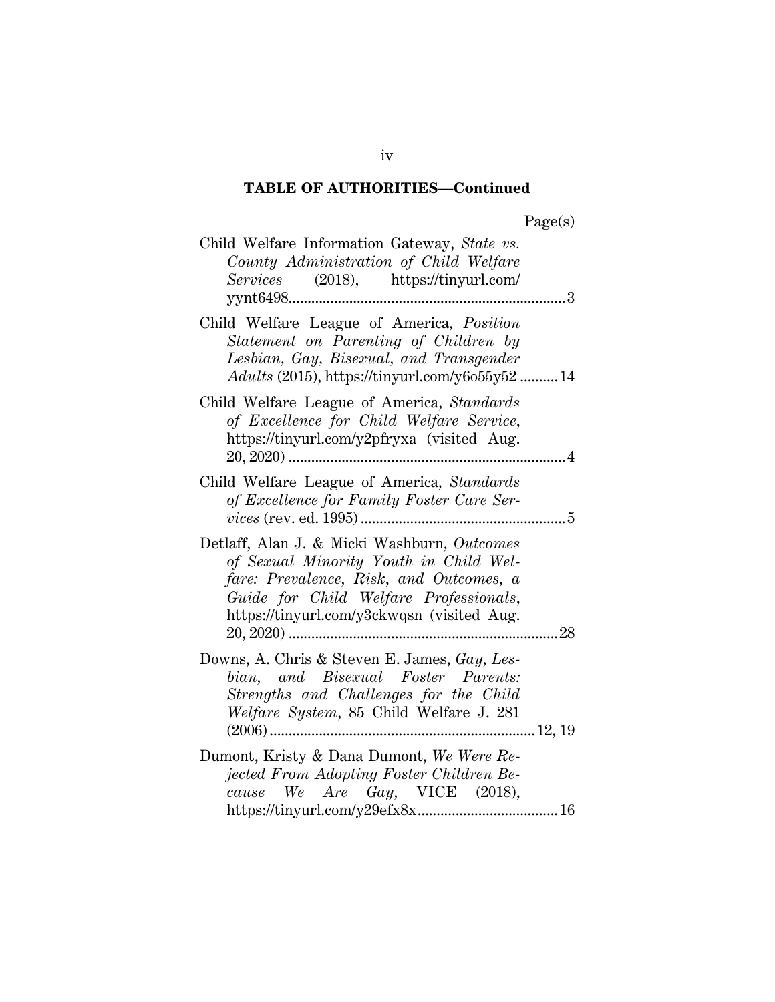| ager |
|------|
|------|

| Child Welfare Information Gateway, State vs.<br>County Administration of Child Welfare<br>Services<br>$(2018)$ , https://tinyurl.com/<br>yynt6498<br>                                                                          | 3              |
|--------------------------------------------------------------------------------------------------------------------------------------------------------------------------------------------------------------------------------|----------------|
| Child Welfare League of America, Position<br>Statement on Parenting of Children by<br>Lesbian, Gay, Bisexual, and Transgender<br>$A dults$ (2015), https://tinyurl.com/y6o55y52 14                                             |                |
| Child Welfare League of America, Standards<br>of Excellence for Child Welfare Service,<br>https://tinyurl.com/y2pfryxa (visited Aug.                                                                                           | $\overline{4}$ |
| Child Welfare League of America, Standards<br>of Excellence for Family Foster Care Ser-                                                                                                                                        |                |
| Detlaff, Alan J. & Micki Washburn, Outcomes<br>of Sexual Minority Youth in Child Wel-<br>fare: Prevalence, Risk, and Outcomes, a<br>Guide for Child Welfare Professionals,<br>https://tinyurl.com/y3ckwqsn (visited Aug.<br>28 |                |
| Downs, A. Chris & Steven E. James, Gay, Les-<br>bian, and Bisexual Foster Parents:<br>Strengths and Challenges for the Child<br>Welfare System, 85 Child Welfare J. 281                                                        |                |
| Dumont, Kristy & Dana Dumont, We Were Re-<br>jected From Adopting Foster Children Be-<br>We Are Gay, VICE $(2018)$ ,<br>cause                                                                                                  |                |

iv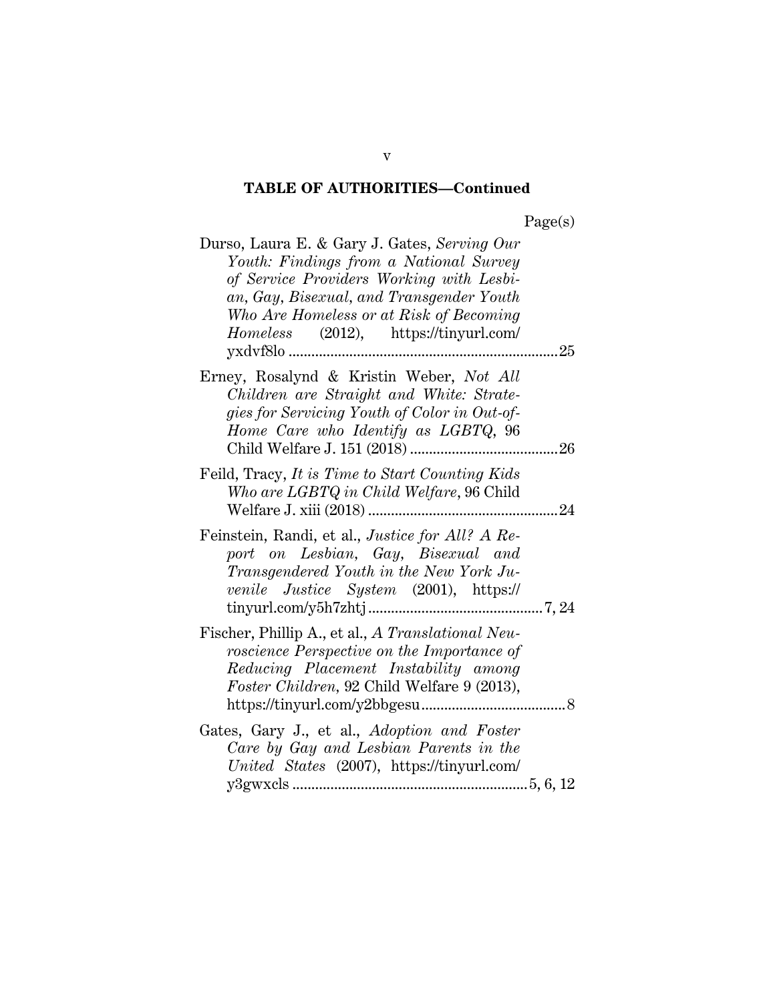| Durso, Laura E. & Gary J. Gates, Serving Our<br>Youth: Findings from a National Survey<br>of Service Providers Working with Lesbi-<br>an, Gay, Bisexual, and Transgender Youth<br>Who Are Homeless or at Risk of Becoming<br>Homeless (2012), https://tinyurl.com/ |
|--------------------------------------------------------------------------------------------------------------------------------------------------------------------------------------------------------------------------------------------------------------------|
| Erney, Rosalynd & Kristin Weber, Not All<br>Children are Straight and White: Strate-<br>gies for Servicing Youth of Color in Out-of-<br>Home Care who Identify as LGBTQ, 96                                                                                        |
| Feild, Tracy, It is Time to Start Counting Kids<br>Who are LGBTQ in Child Welfare, 96 Child<br>24                                                                                                                                                                  |
| Feinstein, Randi, et al., <i>Justice for All? A Re-</i><br>port on Lesbian, Gay, Bisexual and<br>Transgendered Youth in the New York Ju-<br>venile Justice System (2001), https://                                                                                 |
| Fischer, Phillip A., et al., A Translational Neu-<br>roscience Perspective on the Importance of<br>Reducing Placement Instability among<br>Foster Children, 92 Child Welfare 9 (2013),                                                                             |
| Gates, Gary J., et al., Adoption and Foster<br>Care by Gay and Lesbian Parents in the<br>United States (2007), https://tinyurl.com/                                                                                                                                |

v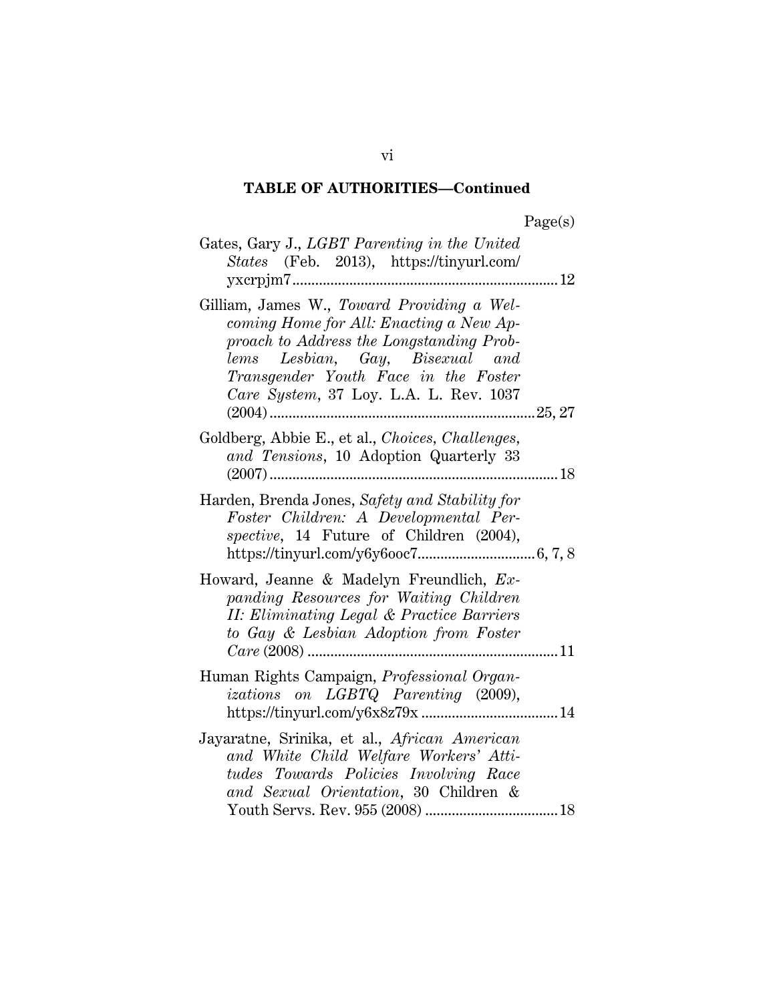| )<br>age(s)<br>г. |
|-------------------|
|-------------------|

| Gates, Gary J., LGBT Parenting in the United<br>States (Feb. 2013), https://tinyurl.com/                                                                                                                                                                  |  |
|-----------------------------------------------------------------------------------------------------------------------------------------------------------------------------------------------------------------------------------------------------------|--|
| Gilliam, James W., Toward Providing a Wel-<br>coming Home for All: Enacting a New Ap-<br>proach to Address the Longstanding Prob-<br>Lesbian, Gay, Bisexual and<br>lems<br>Transgender Youth Face in the Foster<br>Care System, 37 Loy. L.A. L. Rev. 1037 |  |
| Goldberg, Abbie E., et al., Choices, Challenges,<br>and Tensions, 10 Adoption Quarterly 33                                                                                                                                                                |  |
| Harden, Brenda Jones, Safety and Stability for<br>Foster Children: A Developmental Per-<br>spective, 14 Future of Children (2004),                                                                                                                        |  |
| Howard, Jeanne & Madelyn Freundlich, Ex-<br>panding Resources for Waiting Children<br>II: Eliminating Legal & Practice Barriers<br>to Gay & Lesbian Adoption from Foster                                                                                  |  |
| Human Rights Campaign, <i>Professional Organ</i> -<br>izations on LGBTQ Parenting (2009),                                                                                                                                                                 |  |
| Jayaratne, Srinika, et al., African American<br>and White Child Welfare Workers' Atti-<br>tudes Towards Policies Involving Race<br>and Sexual Orientation, 30 Children &                                                                                  |  |

vi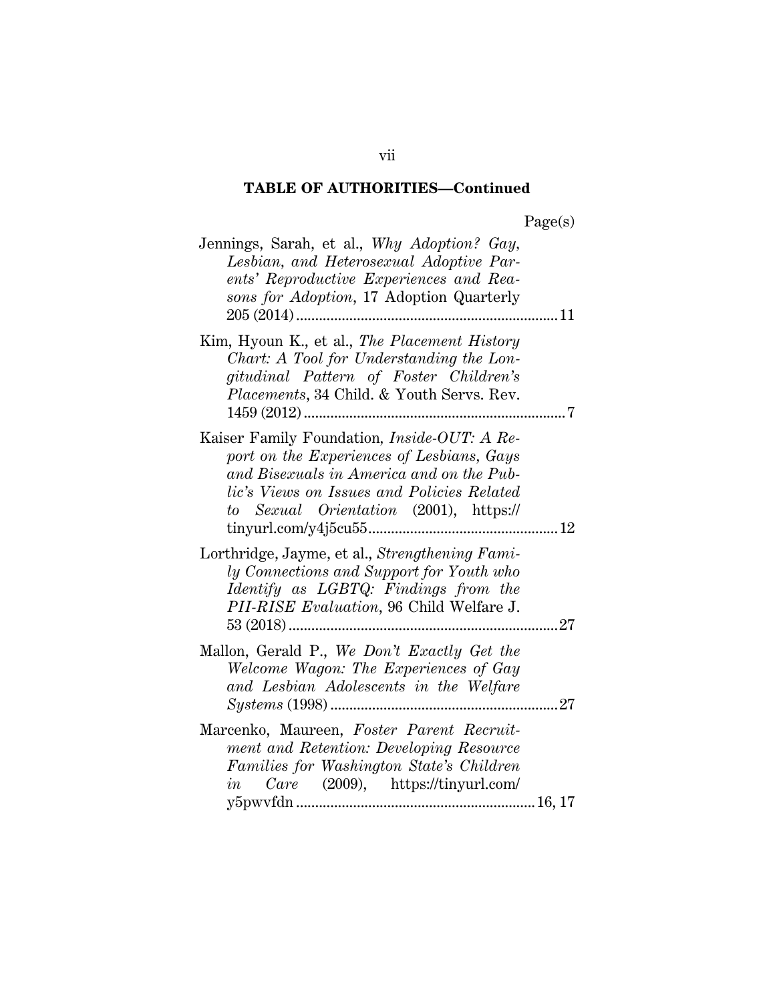| Jennings, Sarah, et al., Why Adoption? Gay,<br>Lesbian, and Heterosexual Adoptive Par-<br>ents' Reproductive Experiences and Rea-<br>sons for Adoption, 17 Adoption Quarterly                                                                            |    |
|----------------------------------------------------------------------------------------------------------------------------------------------------------------------------------------------------------------------------------------------------------|----|
| Kim, Hyoun K., et al., The Placement History<br>Chart: A Tool for Understanding the Lon-<br>gitudinal Pattern of Foster Children's<br>Placements, 34 Child. & Youth Servs. Rev.                                                                          | 7  |
| Kaiser Family Foundation, Inside-OUT: A Re-<br>port on the Experiences of Lesbians, Gays<br>and Bisexuals in America and on the Pub-<br>lic's Views on Issues and Policies Related<br>to Sexual Orientation (2001), https://<br>$tinyurl.com/y4j5cu5512$ |    |
| Lorthridge, Jayme, et al., Strengthening Fami-<br>ly Connections and Support for Youth who<br>Identify as LGBTQ: Findings from the<br>PII-RISE Evaluation, 96 Child Welfare J.                                                                           |    |
| Mallon, Gerald P., We Don't Exactly Get the<br>Welcome Wagon: The Experiences of Gay<br>and Lesbian Adolescents in the Welfare                                                                                                                           | 27 |
| Marcenko, Maureen, Foster Parent Recruit-<br>ment and Retention: Developing Resource<br>Families for Washington State's Children<br>Care $(2009)$ , https://tinyurl.com/<br>in                                                                           |    |

vii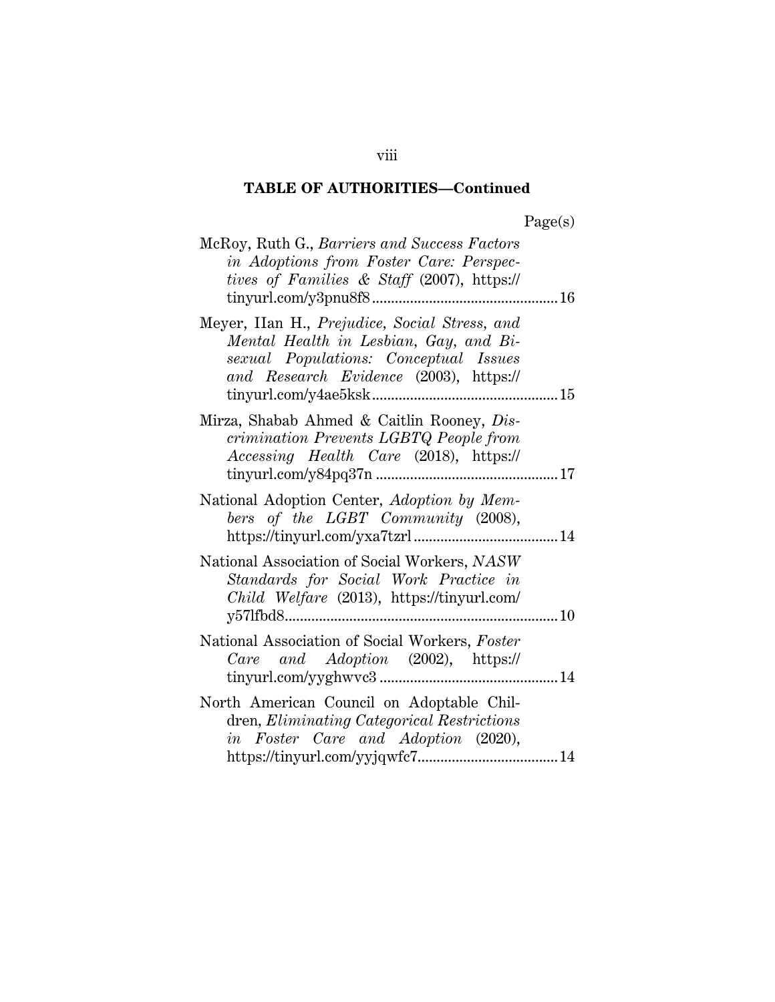| McRoy, Ruth G., Barriers and Success Factors<br>in Adoptions from Foster Care: Perspec-<br>tives of Families & Staff (2007), https://                                      |  |
|----------------------------------------------------------------------------------------------------------------------------------------------------------------------------|--|
| Meyer, IIan H., Prejudice, Social Stress, and<br>Mental Health in Lesbian, Gay, and Bi-<br>sexual Populations: Conceptual Issues<br>and Research Evidence (2003), https:// |  |
| Mirza, Shabab Ahmed & Caitlin Rooney, Dis-<br>crimination Prevents LGBTQ People from<br>Accessing Health Care (2018), https://                                             |  |
| National Adoption Center, Adoption by Mem-<br>bers of the LGBT Community (2008),                                                                                           |  |
| National Association of Social Workers, NASW<br>Standards for Social Work Practice in<br>Child Welfare (2013), https://tinyurl.com/                                        |  |
| National Association of Social Workers, Foster<br>Care and Adoption (2002), https://                                                                                       |  |
| North American Council on Adoptable Chil-<br>dren, Eliminating Categorical Restrictions<br>in Foster Care and Adoption (2020),                                             |  |

viii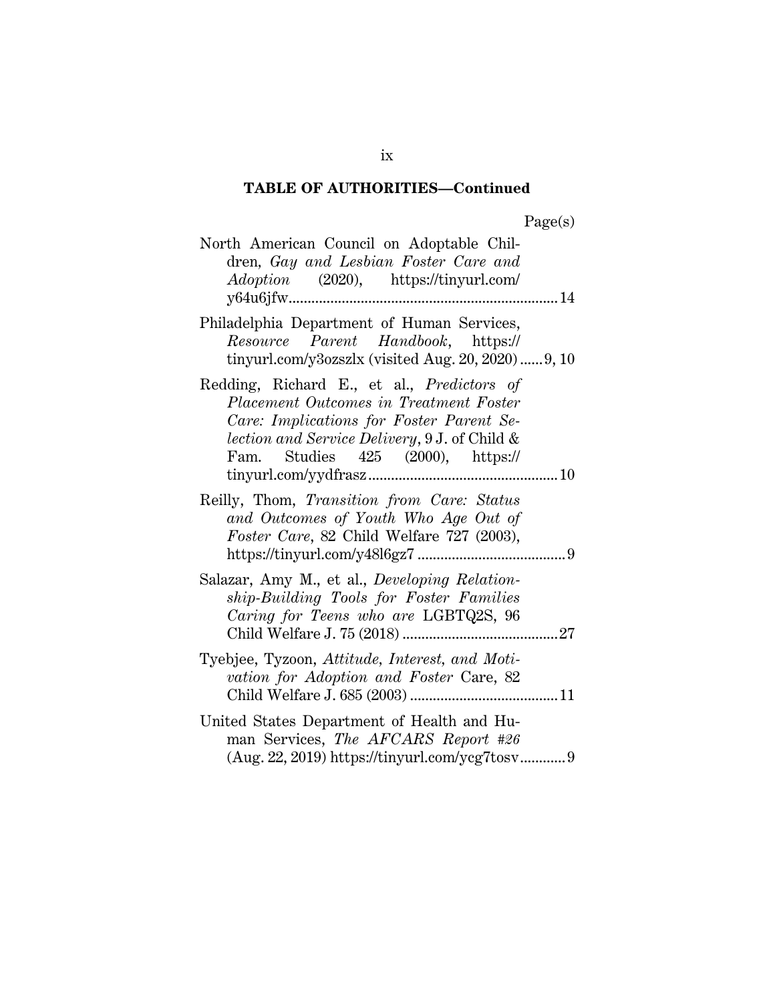| North American Council on Adoptable Chil-<br>dren, Gay and Lesbian Foster Care and<br><i>Adoption</i> (2020), https://tinyurl.com/                                                                                                        |
|-------------------------------------------------------------------------------------------------------------------------------------------------------------------------------------------------------------------------------------------|
| Philadelphia Department of Human Services,<br>Resource Parent Handbook, https://<br>tinyurl.com/y3ozszlx (visited Aug. 20, 2020) 9, 10                                                                                                    |
| Redding, Richard E., et al., Predictors of<br>Placement Outcomes in Treatment Foster<br>Care: Implications for Foster Parent Se-<br><i>lection and Service Delivery</i> , 9 J. of Child &<br>Fam. Studies 425 (2000), https://<br>tiny.10 |
| Reilly, Thom, Transition from Care: Status<br>and Outcomes of Youth Who Age Out of<br>Foster Care, 82 Child Welfare 727 (2003),                                                                                                           |
| Salazar, Amy M., et al., Developing Relation-<br>ship-Building Tools for Foster Families<br>Caring for Teens who are LGBTQ2S, 96                                                                                                          |
| Tyebjee, Tyzoon, Attitude, Interest, and Moti-<br>vation for Adoption and Foster Care, 82                                                                                                                                                 |
| United States Department of Health and Hu-<br>man Services, The AFCARS Report #26<br>(Aug. 22, 2019) https://tinyurl.com/ycg7tosv 9                                                                                                       |

ix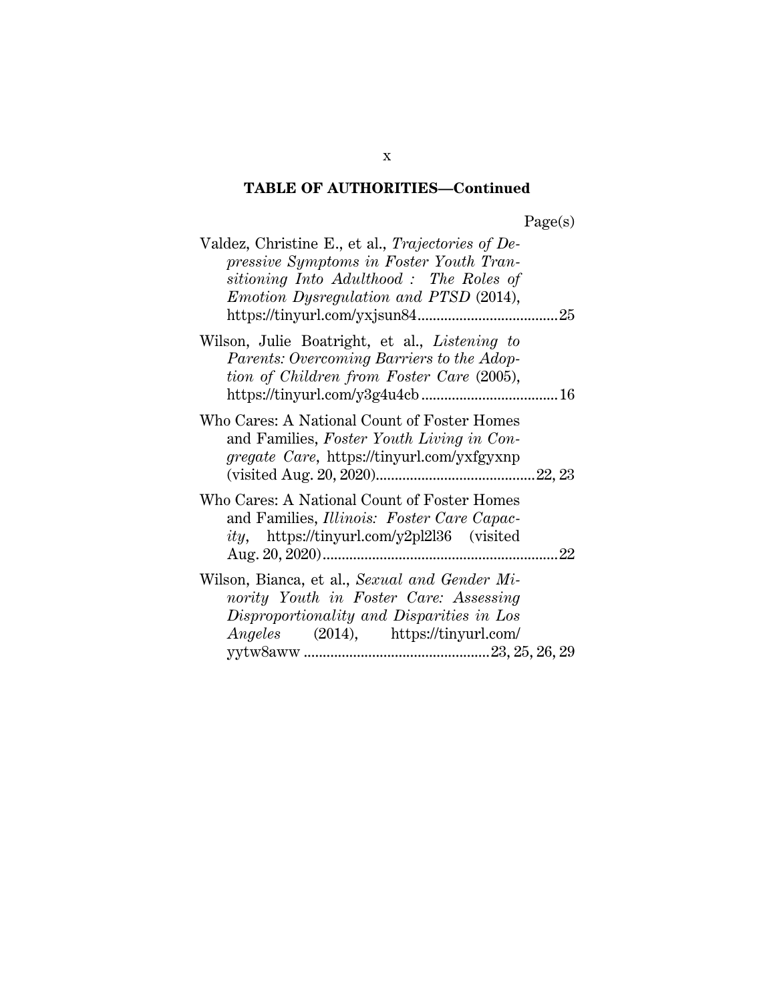| aget | s |
|------|---|
|      |   |

| Valdez, Christine E., et al., Trajectories of De-<br>pressive Symptoms in Foster Youth Tran-<br>sitioning Into Adulthood: The Roles of<br><i>Emotion Dysregulation and PTSD (2014),</i> |    |
|-----------------------------------------------------------------------------------------------------------------------------------------------------------------------------------------|----|
| Wilson, Julie Boatright, et al., Listening to<br>Parents: Overcoming Barriers to the Adop-<br>tion of Children from Foster Care (2005),                                                 |    |
| Who Cares: A National Count of Foster Homes<br>and Families, Foster Youth Living in Con-<br><i>gregate Care</i> , https://tinyurl.com/yxfgyxnp                                          |    |
| Who Cares: A National Count of Foster Homes<br>and Families, Illinois: Foster Care Capac-<br><i>ity</i> , https://tinyurl.com/y2pl2l36 (visited                                         | 22 |
| Wilson, Bianca, et al., Sexual and Gender Mi-<br>nority Youth in Foster Care: Assessing<br>Disproportionality and Disparities in Los<br><i>Angeles</i> (2014), https://tinyurl.com/     |    |

x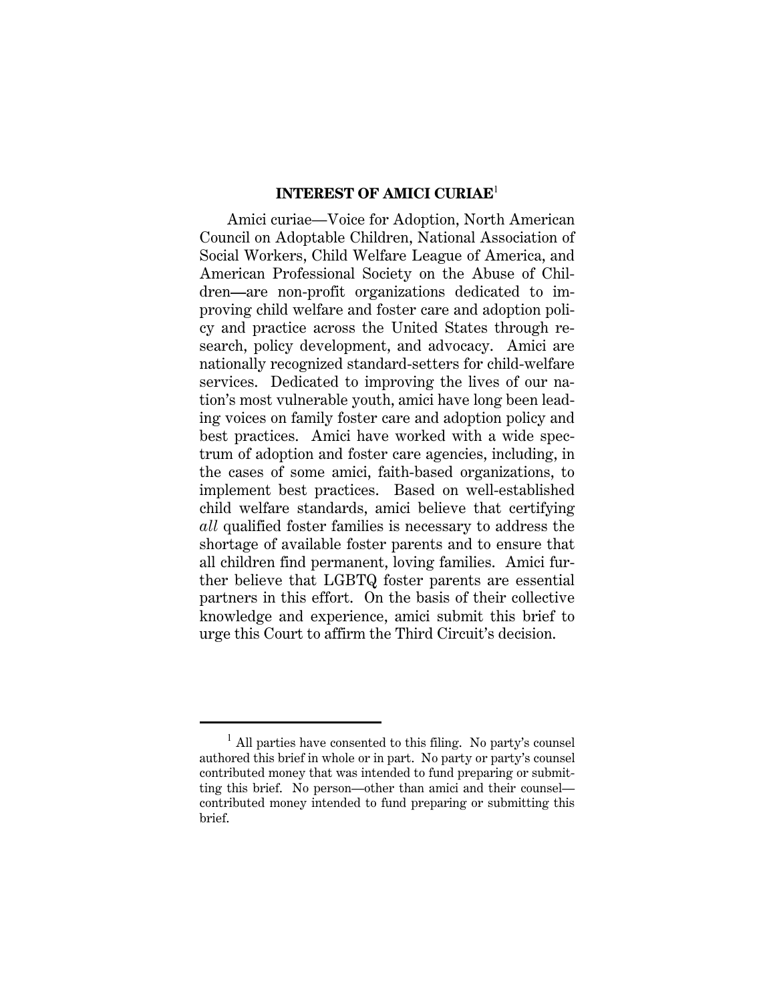#### **INTEREST OF AMICI CURIAE**<sup>1</sup>

Amici curiae—Voice for Adoption, North American Council on Adoptable Children, National Association of Social Workers, Child Welfare League of America, and American Professional Society on the Abuse of Children—are non-profit organizations dedicated to improving child welfare and foster care and adoption policy and practice across the United States through research, policy development, and advocacy. Amici are nationally recognized standard-setters for child-welfare services. Dedicated to improving the lives of our nation's most vulnerable youth, amici have long been leading voices on family foster care and adoption policy and best practices. Amici have worked with a wide spectrum of adoption and foster care agencies, including, in the cases of some amici, faith-based organizations, to implement best practices. Based on well-established child welfare standards, amici believe that certifying *all* qualified foster families is necessary to address the shortage of available foster parents and to ensure that all children find permanent, loving families. Amici further believe that LGBTQ foster parents are essential partners in this effort. On the basis of their collective knowledge and experience, amici submit this brief to urge this Court to affirm the Third Circuit's decision.

<sup>1</sup> All parties have consented to this filing. No party's counsel authored this brief in whole or in part. No party or party's counsel contributed money that was intended to fund preparing or submitting this brief. No person—other than amici and their counsel contributed money intended to fund preparing or submitting this brief.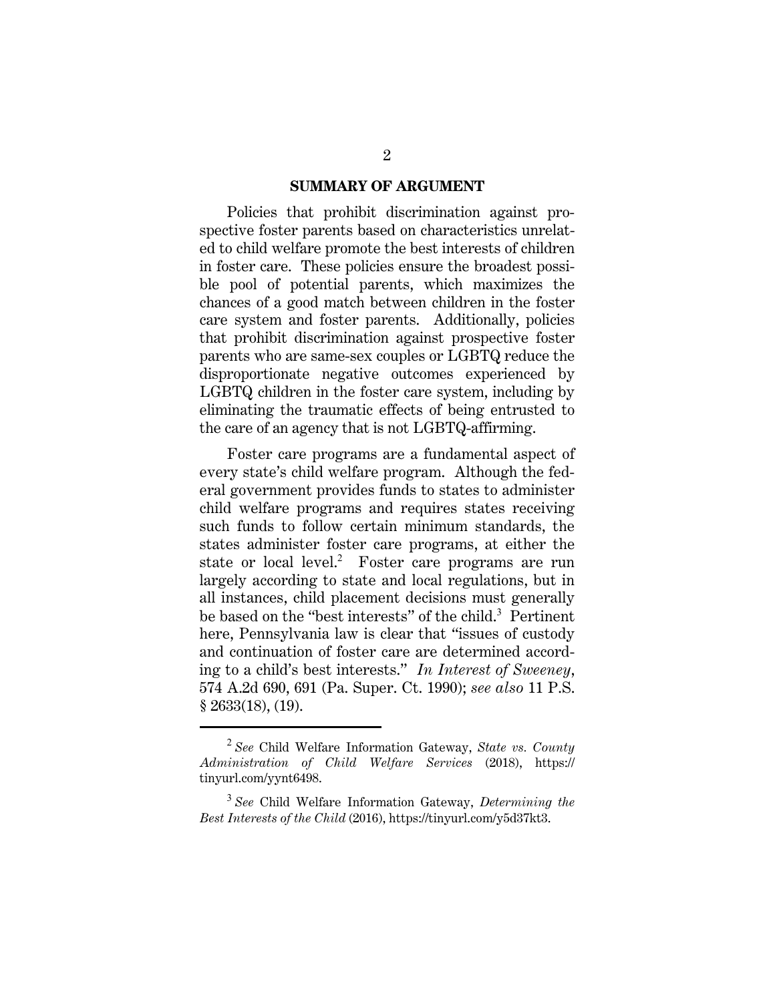#### **SUMMARY OF ARGUMENT**

Policies that prohibit discrimination against prospective foster parents based on characteristics unrelated to child welfare promote the best interests of children in foster care. These policies ensure the broadest possible pool of potential parents, which maximizes the chances of a good match between children in the foster care system and foster parents. Additionally, policies that prohibit discrimination against prospective foster parents who are same-sex couples or LGBTQ reduce the disproportionate negative outcomes experienced by LGBTQ children in the foster care system, including by eliminating the traumatic effects of being entrusted to the care of an agency that is not LGBTQ-affirming.

Foster care programs are a fundamental aspect of every state's child welfare program. Although the federal government provides funds to states to administer child welfare programs and requires states receiving such funds to follow certain minimum standards, the states administer foster care programs, at either the state or local level.<sup>2</sup> Foster care programs are run largely according to state and local regulations, but in all instances, child placement decisions must generally be based on the "best interests" of the child.<sup>3</sup> Pertinent here, Pennsylvania law is clear that "issues of custody and continuation of foster care are determined according to a child's best interests." *In Interest of Sweeney*, 574 A.2d 690, 691 (Pa. Super. Ct. 1990); *see also* 11 P.S. § 2633(18), (19).

<sup>2</sup> *See* Child Welfare Information Gateway, *State vs. County Administration of Child Welfare Services* (2018), https:// tinyurl.com/yynt6498.

<sup>3</sup> *See* Child Welfare Information Gateway, *Determining the Best Interests of the Child* (2016), https://tinyurl.com/y5d37kt3.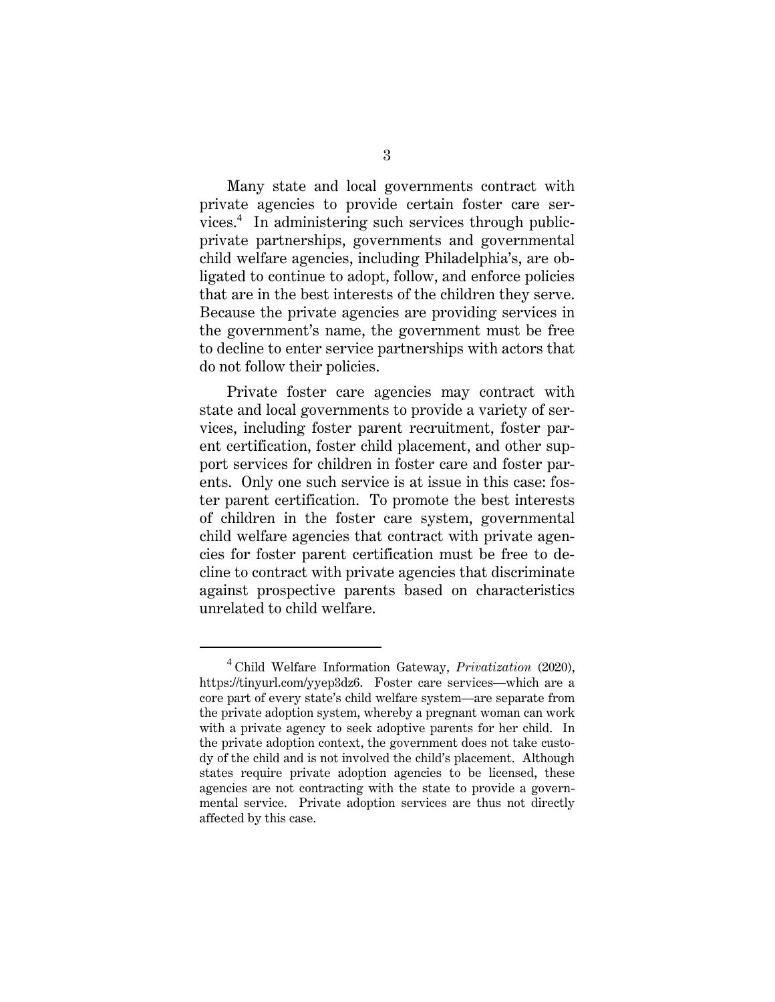Many state and local governments contract with private agencies to provide certain foster care services.<sup>4</sup> In administering such services through publicprivate partnerships, governments and governmental child welfare agencies, including Philadelphia's, are obligated to continue to adopt, follow, and enforce policies that are in the best interests of the children they serve. Because the private agencies are providing services in the government's name, the government must be free to decline to enter service partnerships with actors that do not follow their policies.

Private foster care agencies may contract with state and local governments to provide a variety of services, including foster parent recruitment, foster parent certification, foster child placement, and other support services for children in foster care and foster parents. Only one such service is at issue in this case: foster parent certification. To promote the best interests of children in the foster care system, governmental child welfare agencies that contract with private agencies for foster parent certification must be free to decline to contract with private agencies that discriminate against prospective parents based on characteristics unrelated to child welfare.

<sup>4</sup> Child Welfare Information Gateway, *Privatization* (2020), https://tinyurl.com/yyep3dz6. Foster care services—which are a core part of every state's child welfare system—are separate from the private adoption system, whereby a pregnant woman can work with a private agency to seek adoptive parents for her child. In the private adoption context, the government does not take custody of the child and is not involved the child's placement. Although states require private adoption agencies to be licensed, these agencies are not contracting with the state to provide a governmental service. Private adoption services are thus not directly affected by this case.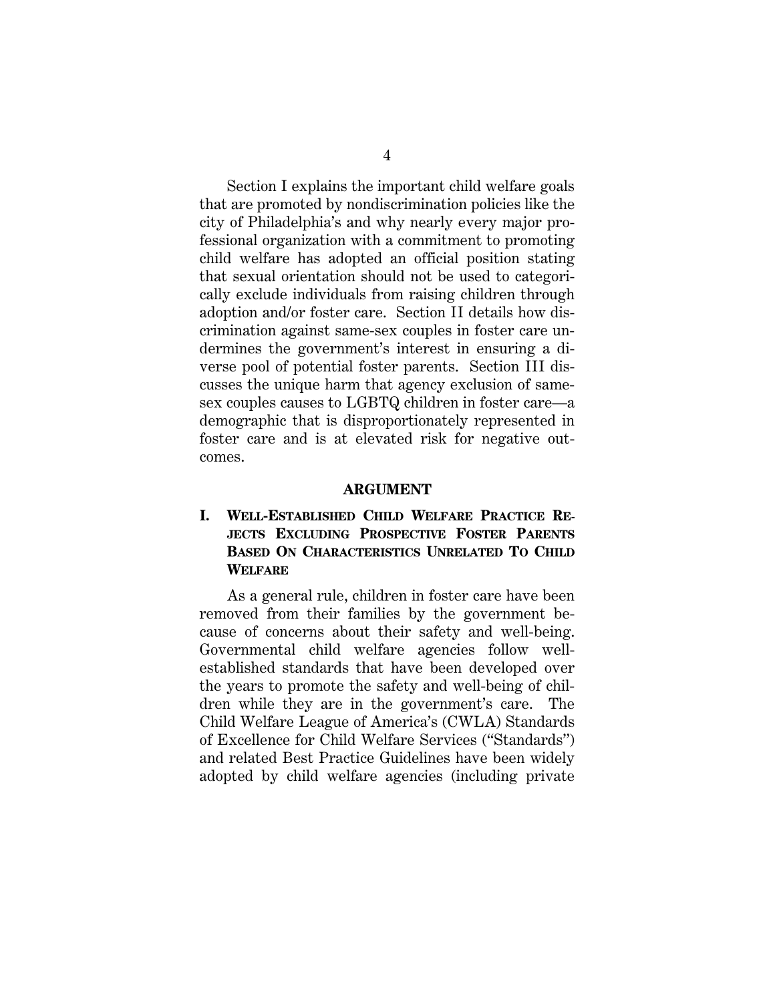Section I explains the important child welfare goals that are promoted by nondiscrimination policies like the city of Philadelphia's and why nearly every major professional organization with a commitment to promoting child welfare has adopted an official position stating that sexual orientation should not be used to categorically exclude individuals from raising children through adoption and/or foster care. Section II details how discrimination against same-sex couples in foster care undermines the government's interest in ensuring a diverse pool of potential foster parents. Section III discusses the unique harm that agency exclusion of samesex couples causes to LGBTQ children in foster care—a demographic that is disproportionately represented in foster care and is at elevated risk for negative outcomes.

#### **ARGUMENT**

### **I. WELL-ESTABLISHED CHILD WELFARE PRACTICE RE-JECTS EXCLUDING PROSPECTIVE FOSTER PARENTS BASED ON CHARACTERISTICS UNRELATED TO CHILD WELFARE**

As a general rule, children in foster care have been removed from their families by the government because of concerns about their safety and well-being. Governmental child welfare agencies follow wellestablished standards that have been developed over the years to promote the safety and well-being of children while they are in the government's care. The Child Welfare League of America's (CWLA) Standards of Excellence for Child Welfare Services ("Standards") and related Best Practice Guidelines have been widely adopted by child welfare agencies (including private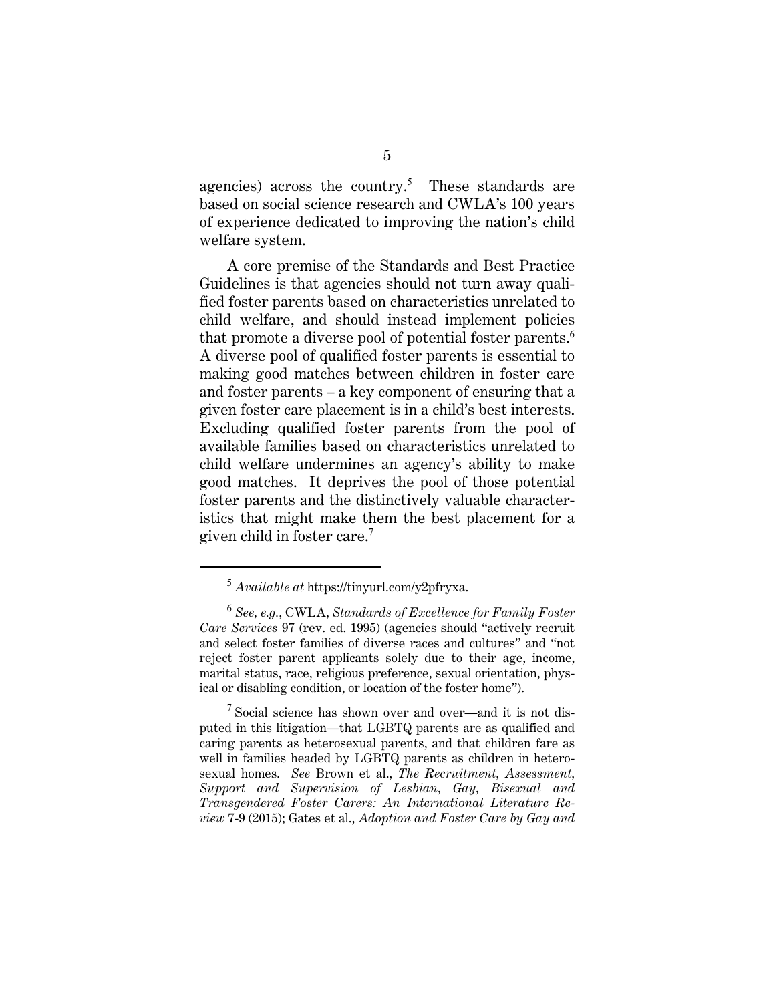agencies) across the country.<sup>5</sup> These standards are based on social science research and CWLA's 100 years of experience dedicated to improving the nation's child welfare system.

A core premise of the Standards and Best Practice Guidelines is that agencies should not turn away qualified foster parents based on characteristics unrelated to child welfare, and should instead implement policies that promote a diverse pool of potential foster parents.<sup>6</sup> A diverse pool of qualified foster parents is essential to making good matches between children in foster care and foster parents – a key component of ensuring that a given foster care placement is in a child's best interests. Excluding qualified foster parents from the pool of available families based on characteristics unrelated to child welfare undermines an agency's ability to make good matches. It deprives the pool of those potential foster parents and the distinctively valuable characteristics that might make them the best placement for a given child in foster care.<sup>7</sup>

<sup>5</sup> *Available at* https://tinyurl.com/y2pfryxa.

<sup>6</sup> *See, e.g.*, CWLA, *Standards of Excellence for Family Foster Care Services* 97 (rev. ed. 1995) (agencies should "actively recruit and select foster families of diverse races and cultures" and "not reject foster parent applicants solely due to their age, income, marital status, race, religious preference, sexual orientation, physical or disabling condition, or location of the foster home").

 $7$  Social science has shown over and over—and it is not disputed in this litigation—that LGBTQ parents are as qualified and caring parents as heterosexual parents, and that children fare as well in families headed by LGBTQ parents as children in heterosexual homes. *See* Brown et al., *The Recruitment, Assessment, Support and Supervision of Lesbian, Gay, Bisexual and Transgendered Foster Carers: An International Literature Review* 7-9 (2015); Gates et al., *Adoption and Foster Care by Gay and*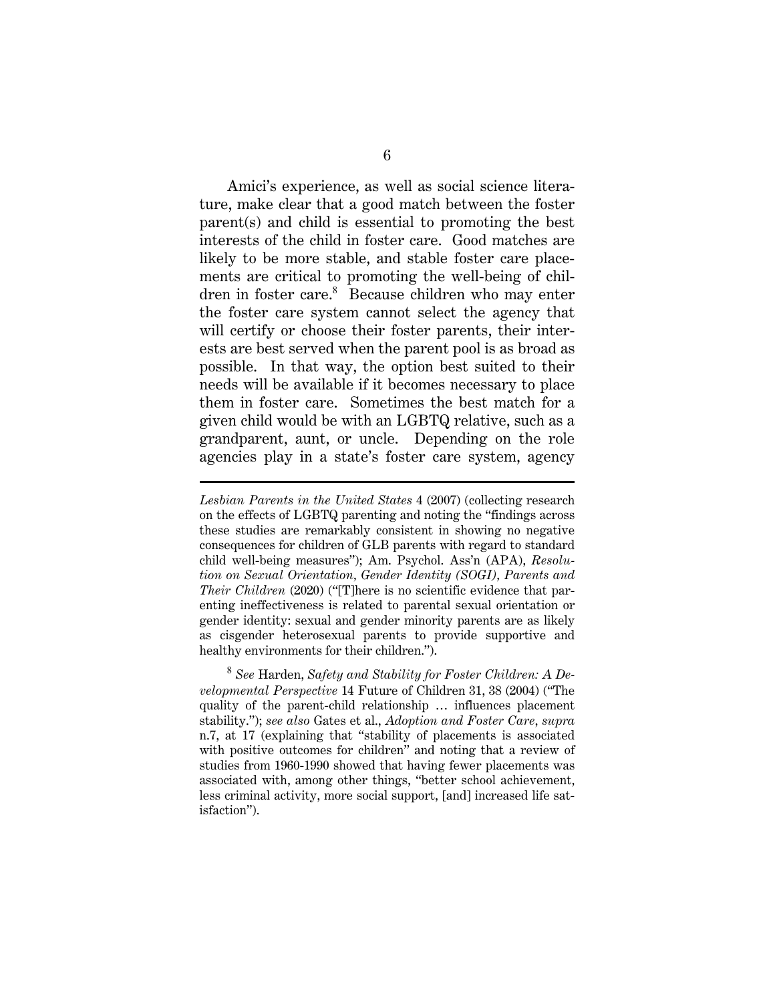Amici's experience, as well as social science literature, make clear that a good match between the foster parent(s) and child is essential to promoting the best interests of the child in foster care. Good matches are likely to be more stable, and stable foster care placements are critical to promoting the well-being of children in foster care.<sup>8</sup> Because children who may enter the foster care system cannot select the agency that will certify or choose their foster parents, their interests are best served when the parent pool is as broad as possible. In that way, the option best suited to their needs will be available if it becomes necessary to place them in foster care. Sometimes the best match for a given child would be with an LGBTQ relative, such as a grandparent, aunt, or uncle. Depending on the role agencies play in a state's foster care system, agency

*Lesbian Parents in the United States* 4 (2007) (collecting research on the effects of LGBTQ parenting and noting the "findings across these studies are remarkably consistent in showing no negative consequences for children of GLB parents with regard to standard child well-being measures"); Am. Psychol. Ass'n (APA), *Resolution on Sexual Orientation, Gender Identity (SOGI), Parents and Their Children* (2020) ("[T]here is no scientific evidence that parenting ineffectiveness is related to parental sexual orientation or gender identity: sexual and gender minority parents are as likely as cisgender heterosexual parents to provide supportive and healthy environments for their children.").

<sup>8</sup> *See* Harden, *Safety and Stability for Foster Children: A Developmental Perspective* 14 Future of Children 31, 38 (2004) ("The quality of the parent-child relationship … influences placement stability."); *see also* Gates et al., *Adoption and Foster Care*, *supra*  n.7, at 17 (explaining that "stability of placements is associated with positive outcomes for children" and noting that a review of studies from 1960-1990 showed that having fewer placements was associated with, among other things, "better school achievement, less criminal activity, more social support, [and] increased life satisfaction").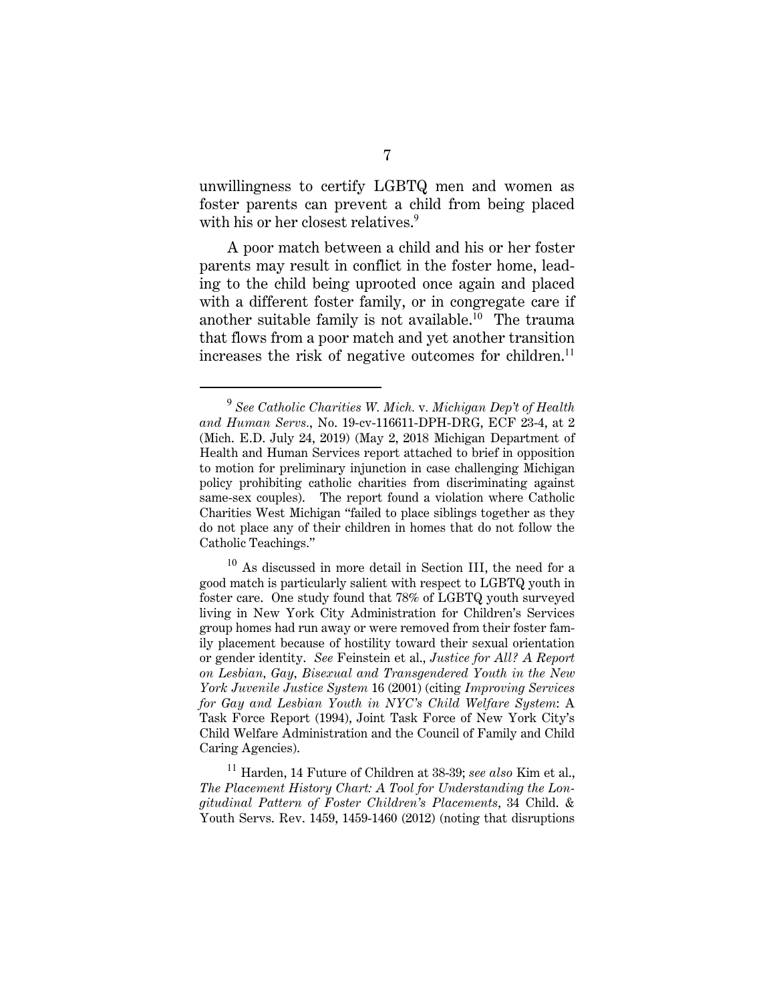unwillingness to certify LGBTQ men and women as foster parents can prevent a child from being placed with his or her closest relatives.<sup>9</sup>

A poor match between a child and his or her foster parents may result in conflict in the foster home, leading to the child being uprooted once again and placed with a different foster family, or in congregate care if another suitable family is not available.<sup>10</sup> The trauma that flows from a poor match and yet another transition increases the risk of negative outcomes for children. $^{11}$ 

<sup>9</sup> *See Catholic Charities W. Mich.* v*. Michigan Dep't of Health and Human Servs.*, No. 19-cv-116611-DPH-DRG, ECF 23-4, at 2 (Mich. E.D. July 24, 2019) (May 2, 2018 Michigan Department of Health and Human Services report attached to brief in opposition to motion for preliminary injunction in case challenging Michigan policy prohibiting catholic charities from discriminating against same-sex couples). The report found a violation where Catholic Charities West Michigan "failed to place siblings together as they do not place any of their children in homes that do not follow the Catholic Teachings."

 $10$  As discussed in more detail in Section III, the need for a good match is particularly salient with respect to LGBTQ youth in foster care. One study found that 78% of LGBTQ youth surveyed living in New York City Administration for Children's Services group homes had run away or were removed from their foster family placement because of hostility toward their sexual orientation or gender identity. *See* Feinstein et al., *Justice for All? A Report on Lesbian, Gay, Bisexual and Transgendered Youth in the New York Juvenile Justice System* 16 (2001) (citing *Improving Services for Gay and Lesbian Youth in NYC's Child Welfare System*: A Task Force Report (1994), Joint Task Force of New York City's Child Welfare Administration and the Council of Family and Child Caring Agencies).

<sup>11</sup> Harden, 14 Future of Children at 38-39; *see also* Kim et al., *The Placement History Chart: A Tool for Understanding the Longitudinal Pattern of Foster Children's Placements*, 34 Child. & Youth Servs. Rev. 1459, 1459-1460 (2012) (noting that disruptions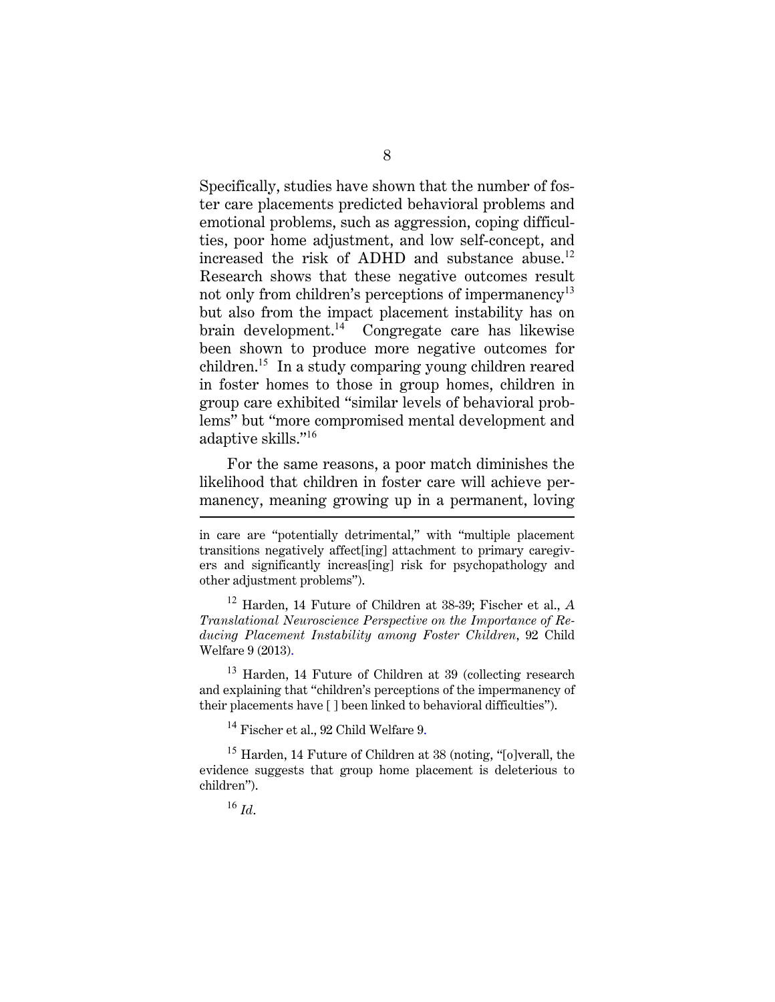Specifically, studies have shown that the number of foster care placements predicted behavioral problems and emotional problems, such as aggression, coping difficulties, poor home adjustment, and low self-concept, and increased the risk of ADHD and substance abuse.<sup>12</sup> Research shows that these negative outcomes result not only from children's perceptions of impermanency<sup>13</sup> but also from the impact placement instability has on brain development. $14$  Congregate care has likewise been shown to produce more negative outcomes for children.<sup>15</sup> In a study comparing young children reared in foster homes to those in group homes, children in group care exhibited "similar levels of behavioral problems" but "more compromised mental development and adaptive skills."<sup>16</sup>

For the same reasons, a poor match diminishes the likelihood that children in foster care will achieve permanency, meaning growing up in a permanent, loving

<sup>12</sup> Harden, 14 Future of Children at 38-39; Fischer et al., *A Translational Neuroscience Perspective on the Importance of Reducing Placement Instability among Foster Children*, 92 Child Welfare 9 (2013).

<sup>13</sup> Harden, 14 Future of Children at 39 (collecting research and explaining that "children's perceptions of the impermanency of their placements have [ ] been linked to behavioral difficulties").

<sup>14</sup> Fischer et al., 92 Child Welfare 9.

<sup>15</sup> Harden, 14 Future of Children at 38 (noting, "[o]verall, the evidence suggests that group home placement is deleterious to children").

<sup>16</sup> *Id*.

in care are "potentially detrimental," with "multiple placement transitions negatively affect[ing] attachment to primary caregivers and significantly increas[ing] risk for psychopathology and other adjustment problems").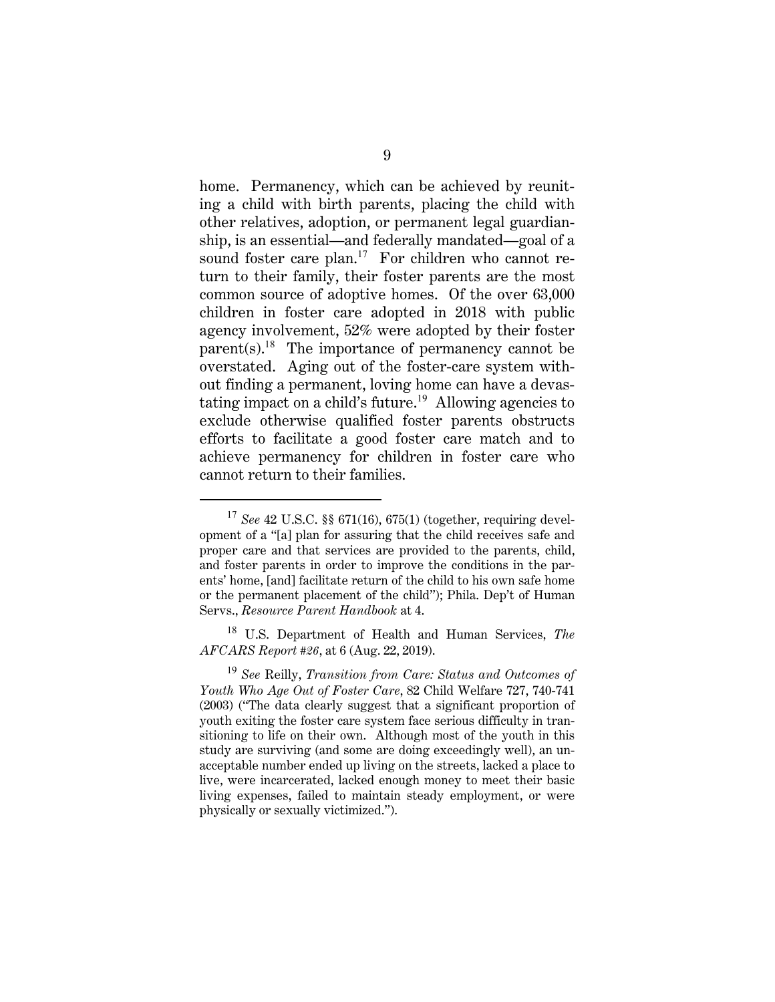home. Permanency, which can be achieved by reuniting a child with birth parents, placing the child with other relatives, adoption, or permanent legal guardianship, is an essential—and federally mandated—goal of a sound foster care plan.<sup>17</sup> For children who cannot return to their family, their foster parents are the most common source of adoptive homes. Of the over 63,000 children in foster care adopted in 2018 with public agency involvement, 52% were adopted by their foster  $\text{parent}(s).^{18}$  The importance of permanency cannot be overstated. Aging out of the foster-care system without finding a permanent, loving home can have a devastating impact on a child's future.<sup>19</sup> Allowing agencies to exclude otherwise qualified foster parents obstructs efforts to facilitate a good foster care match and to achieve permanency for children in foster care who cannot return to their families.

<sup>18</sup> U.S. Department of Health and Human Services, *The AFCARS Report #26*, at 6 (Aug. 22, 2019).

<sup>17</sup> *See* 42 U.S.C. §§ 671(16), 675(1) (together, requiring development of a "[a] plan for assuring that the child receives safe and proper care and that services are provided to the parents, child, and foster parents in order to improve the conditions in the parents' home, [and] facilitate return of the child to his own safe home or the permanent placement of the child"); Phila. Dep't of Human Servs., *Resource Parent Handbook* at 4.

<sup>19</sup> *See* Reilly, *Transition from Care: Status and Outcomes of Youth Who Age Out of Foster Care*, 82 Child Welfare 727, 740-741 (2003) ("The data clearly suggest that a significant proportion of youth exiting the foster care system face serious difficulty in transitioning to life on their own. Although most of the youth in this study are surviving (and some are doing exceedingly well), an unacceptable number ended up living on the streets, lacked a place to live, were incarcerated, lacked enough money to meet their basic living expenses, failed to maintain steady employment, or were physically or sexually victimized.").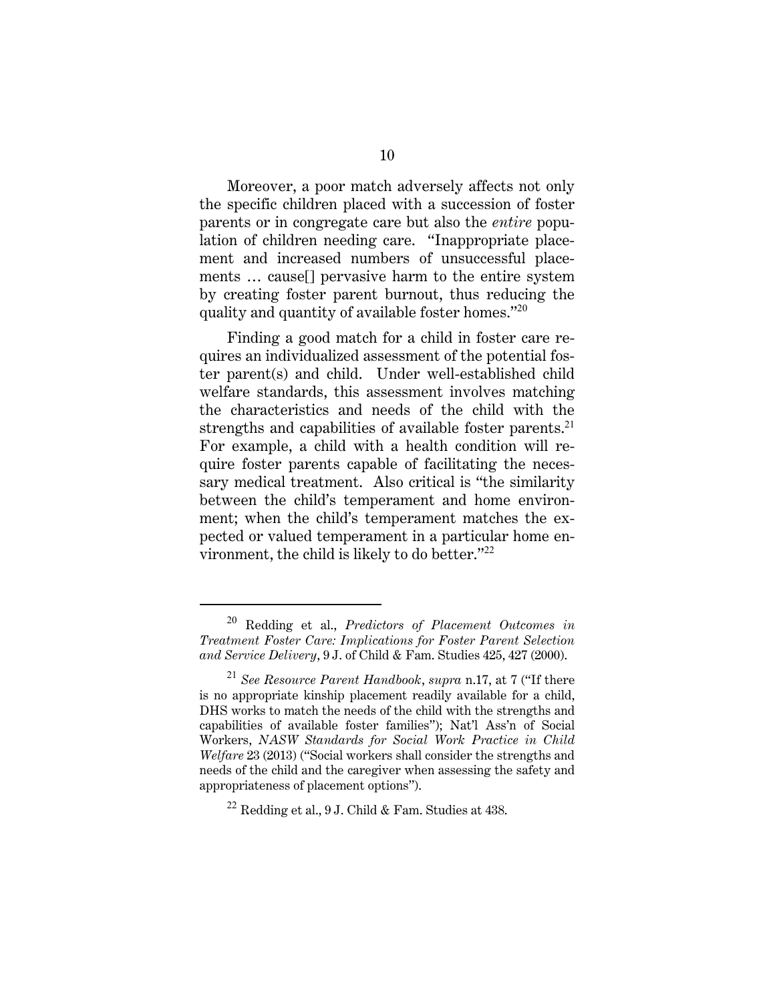Moreover, a poor match adversely affects not only the specific children placed with a succession of foster parents or in congregate care but also the *entire* population of children needing care. "Inappropriate placement and increased numbers of unsuccessful placements … cause[] pervasive harm to the entire system by creating foster parent burnout, thus reducing the quality and quantity of available foster homes."<sup>20</sup>

Finding a good match for a child in foster care requires an individualized assessment of the potential foster parent(s) and child. Under well-established child welfare standards, this assessment involves matching the characteristics and needs of the child with the strengths and capabilities of available foster parents.<sup>21</sup> For example, a child with a health condition will require foster parents capable of facilitating the necessary medical treatment. Also critical is "the similarity between the child's temperament and home environment; when the child's temperament matches the expected or valued temperament in a particular home environment, the child is likely to do better."<sup>22</sup>

<sup>20</sup> Redding et al., *Predictors of Placement Outcomes in Treatment Foster Care: Implications for Foster Parent Selection and Service Delivery*, 9 J. of Child & Fam. Studies 425, 427 (2000).

<sup>21</sup> *See Resource Parent Handbook*, *supra* n.17, at 7 ("If there is no appropriate kinship placement readily available for a child, DHS works to match the needs of the child with the strengths and capabilities of available foster families"); Nat'l Ass'n of Social Workers, *NASW Standards for Social Work Practice in Child Welfare* 23 (2013) ("Social workers shall consider the strengths and needs of the child and the caregiver when assessing the safety and appropriateness of placement options").

<sup>&</sup>lt;sup>22</sup> Redding et al., 9 J. Child & Fam. Studies at  $438$ .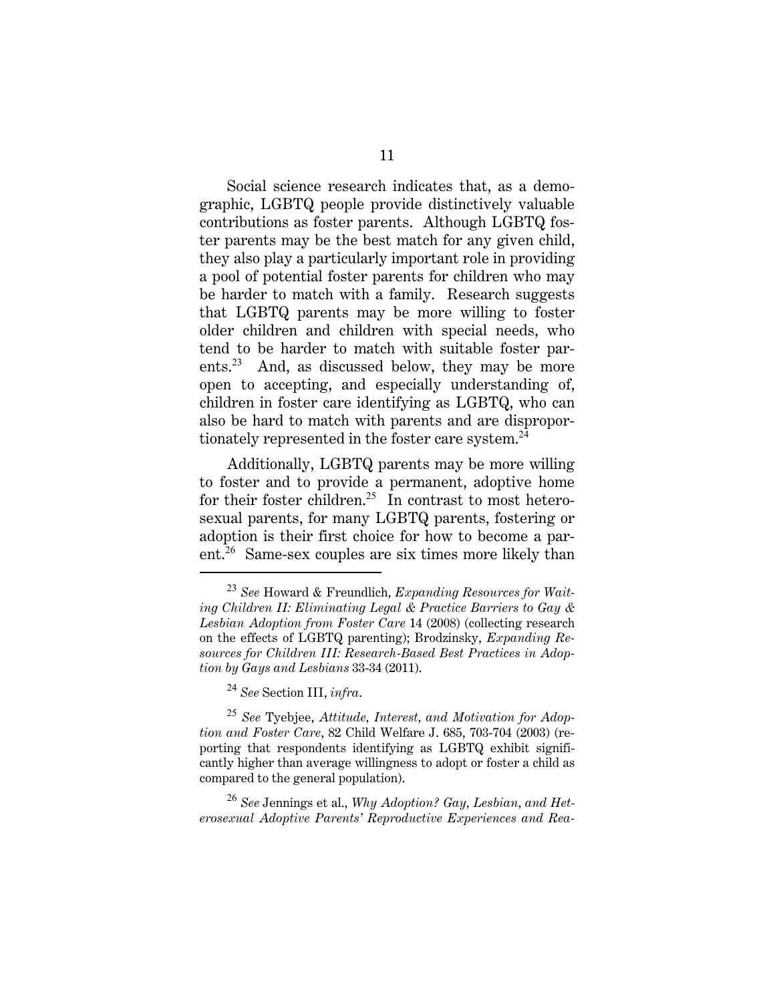Social science research indicates that, as a demographic, LGBTQ people provide distinctively valuable contributions as foster parents. Although LGBTQ foster parents may be the best match for any given child, they also play a particularly important role in providing a pool of potential foster parents for children who may be harder to match with a family. Research suggests that LGBTQ parents may be more willing to foster older children and children with special needs, who tend to be harder to match with suitable foster parents.<sup>23</sup> And, as discussed below, they may be more open to accepting, and especially understanding of, children in foster care identifying as LGBTQ, who can also be hard to match with parents and are disproportionately represented in the foster care system.<sup>24</sup>

Additionally, LGBTQ parents may be more willing to foster and to provide a permanent, adoptive home for their foster children.<sup>25</sup> In contrast to most heterosexual parents, for many LGBTQ parents, fostering or adoption is their first choice for how to become a parent.<sup>26</sup> Same-sex couples are six times more likely than

<sup>24</sup> *See* Section III, *infra*.

<sup>25</sup> *See* Tyebjee, *Attitude, Interest, and Motivation for Adoption and Foster Care*, 82 Child Welfare J. 685, 703-704 (2003) (reporting that respondents identifying as LGBTQ exhibit significantly higher than average willingness to adopt or foster a child as compared to the general population).

<sup>26</sup> *See* Jennings et al., *Why Adoption? Gay, Lesbian, and Heterosexual Adoptive Parents' Reproductive Experiences and Rea-*

<sup>23</sup> *See* Howard & Freundlich, *Expanding Resources for Waiting Children II: Eliminating Legal & Practice Barriers to Gay & Lesbian Adoption from Foster Care* 14 (2008) (collecting research on the effects of LGBTQ parenting); Brodzinsky, *Expanding Resources for Children III: Research-Based Best Practices in Adoption by Gays and Lesbians* 33-34 (2011).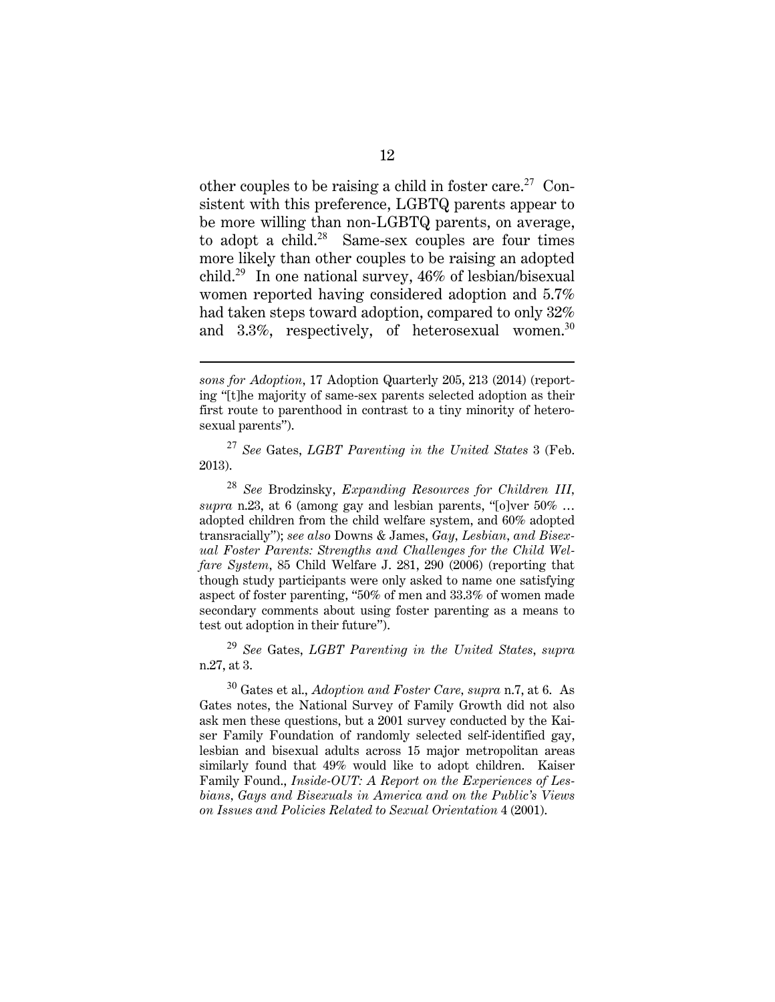other couples to be raising a child in foster care.<sup>27</sup> Consistent with this preference, LGBTQ parents appear to be more willing than non-LGBTQ parents, on average, to adopt a child. $28$  Same-sex couples are four times more likely than other couples to be raising an adopted child.<sup>29</sup> In one national survey, 46% of lesbian/bisexual women reported having considered adoption and 5.7% had taken steps toward adoption, compared to only 32% and 3.3%, respectively, of heterosexual women.<sup>30</sup>

<sup>27</sup> *See* Gates, *LGBT Parenting in the United States* 3 (Feb. 2013).

<sup>28</sup> *See* Brodzinsky, *Expanding Resources for Children III, supra* n.23, at 6 (among gay and lesbian parents, "[o]ver 50% … adopted children from the child welfare system, and 60% adopted transracially"); *see also* Downs & James, *Gay, Lesbian, and Bisexual Foster Parents: Strengths and Challenges for the Child Welfare System*, 85 Child Welfare J. 281, 290 (2006) (reporting that though study participants were only asked to name one satisfying aspect of foster parenting, "50% of men and 33.3% of women made secondary comments about using foster parenting as a means to test out adoption in their future").

<sup>29</sup> *See* Gates, *LGBT Parenting in the United States*, *supra* n.27, at 3.

<sup>30</sup> Gates et al., *Adoption and Foster Care, supra* n.7, at 6. As Gates notes, the National Survey of Family Growth did not also ask men these questions, but a 2001 survey conducted by the Kaiser Family Foundation of randomly selected self-identified gay, lesbian and bisexual adults across 15 major metropolitan areas similarly found that 49% would like to adopt children. Kaiser Family Found., *Inside-OUT: A Report on the Experiences of Lesbians, Gays and Bisexuals in America and on the Public's Views on Issues and Policies Related to Sexual Orientation* 4 (2001).

*sons for Adoption*, 17 Adoption Quarterly 205, 213 (2014) (reporting "[t]he majority of same-sex parents selected adoption as their first route to parenthood in contrast to a tiny minority of heterosexual parents").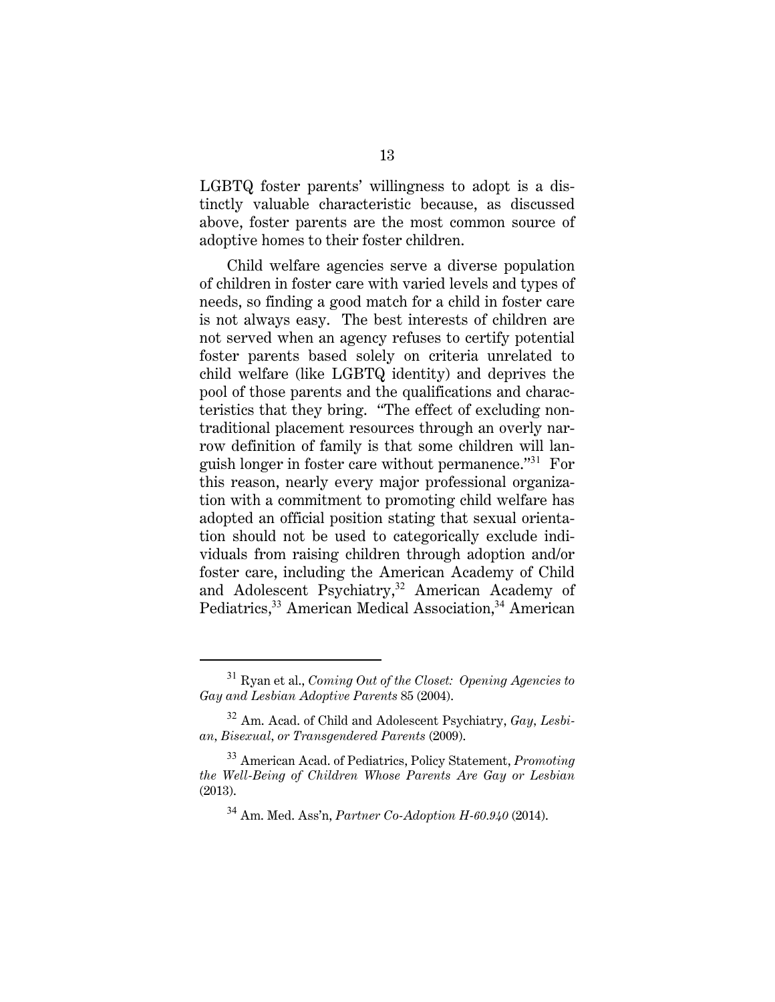LGBTQ foster parents' willingness to adopt is a distinctly valuable characteristic because, as discussed above, foster parents are the most common source of adoptive homes to their foster children.

Child welfare agencies serve a diverse population of children in foster care with varied levels and types of needs, so finding a good match for a child in foster care is not always easy. The best interests of children are not served when an agency refuses to certify potential foster parents based solely on criteria unrelated to child welfare (like LGBTQ identity) and deprives the pool of those parents and the qualifications and characteristics that they bring. "The effect of excluding nontraditional placement resources through an overly narrow definition of family is that some children will languish longer in foster care without permanence."<sup>31</sup> For this reason, nearly every major professional organization with a commitment to promoting child welfare has adopted an official position stating that sexual orientation should not be used to categorically exclude individuals from raising children through adoption and/or foster care, including the American Academy of Child and Adolescent Psychiatry,<sup>32</sup> American Academy of Pediatrics,<sup>33</sup> American Medical Association,<sup>34</sup> American

<sup>31</sup> Ryan et al., *Coming Out of the Closet: Opening Agencies to Gay and Lesbian Adoptive Parents* 85 (2004).

<sup>32</sup> Am. Acad. of Child and Adolescent Psychiatry, *Gay, Lesbian, Bisexual, or Transgendered Parents* (2009).

<sup>33</sup> American Acad. of Pediatrics, Policy Statement, *Promoting the Well-Being of Children Whose Parents Are Gay or Lesbian* (2013).

<sup>34</sup> Am. Med. Ass'n, *Partner Co-Adoption H-60.940* (2014).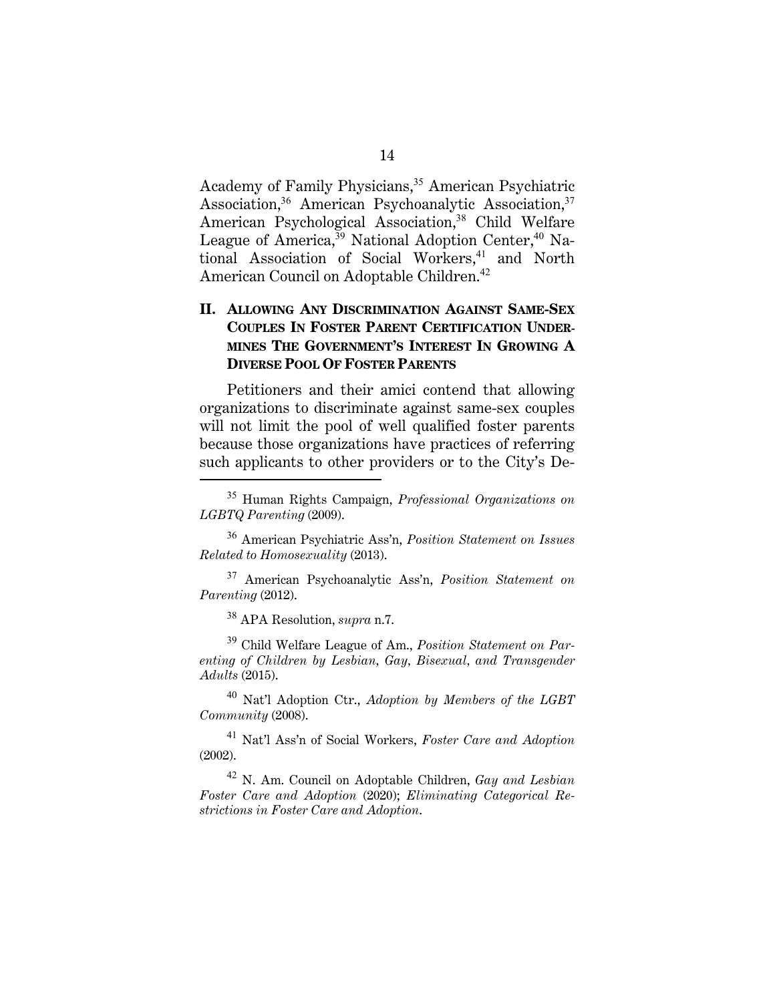Academy of Family Physicians,<sup>35</sup> American Psychiatric Association,<sup>36</sup> American Psychoanalytic Association,<sup>37</sup> American Psychological Association,<sup>38</sup> Child Welfare League of America,<sup>39</sup> National Adoption Center,<sup>40</sup> National Association of Social Workers,<sup>41</sup> and North American Council on Adoptable Children.<sup>42</sup>

### **II. ALLOWING ANY DISCRIMINATION AGAINST SAME-SEX COUPLES IN FOSTER PARENT CERTIFICATION UNDER-MINES THE GOVERNMENT'S INTEREST IN GROWING A DIVERSE POOL OF FOSTER PARENTS**

Petitioners and their amici contend that allowing organizations to discriminate against same-sex couples will not limit the pool of well qualified foster parents because those organizations have practices of referring such applicants to other providers or to the City's De-

<sup>38</sup> APA Resolution, *supra* n.7.

<sup>39</sup> Child Welfare League of Am., *Position Statement on Parenting of Children by Lesbian, Gay, Bisexual, and Transgender Adults* (2015).

<sup>40</sup> Nat'l Adoption Ctr., *Adoption by Members of the LGBT Community* (2008).

<sup>41</sup> Nat'l Ass'n of Social Workers, *Foster Care and Adoption* (2002).

<sup>42</sup> N. Am. Council on Adoptable Children, *Gay and Lesbian Foster Care and Adoption* (2020); *Eliminating Categorical Restrictions in Foster Care and Adoption*.

<sup>35</sup> Human Rights Campaign, *Professional Organizations on LGBTQ Parenting* (2009).

<sup>36</sup> American Psychiatric Ass'n, *Position Statement on Issues Related to Homosexuality* (2013).

<sup>37</sup> American Psychoanalytic Ass'n, *Position Statement on Parenting* (2012).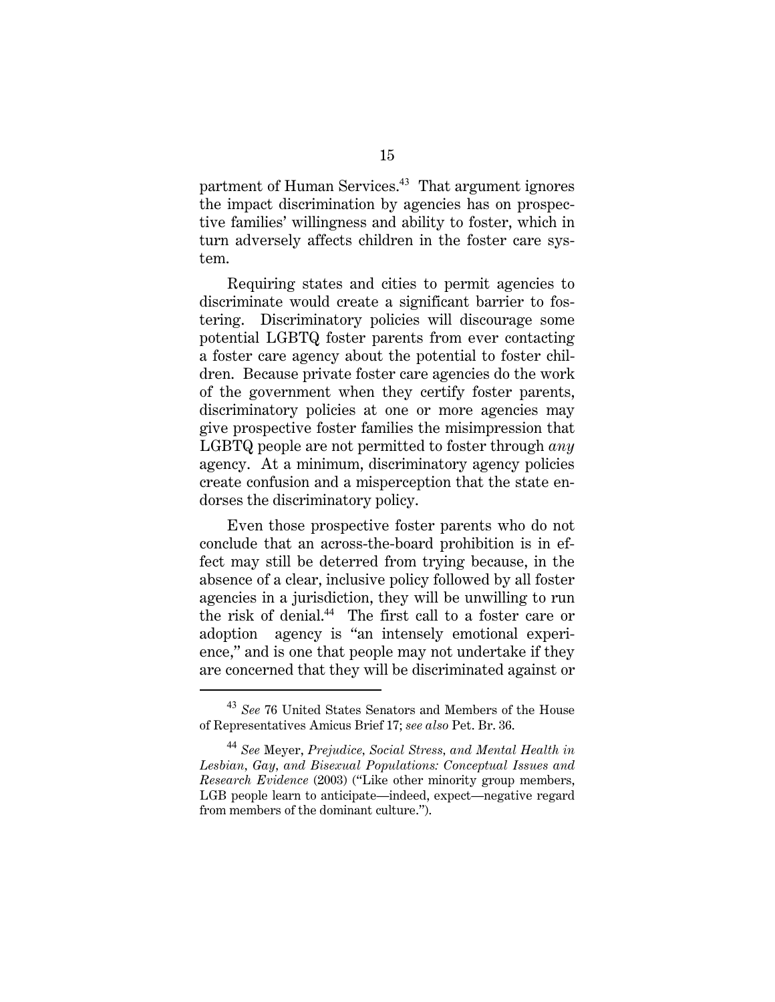partment of Human Services.<sup>43</sup> That argument ignores the impact discrimination by agencies has on prospective families' willingness and ability to foster, which in turn adversely affects children in the foster care system.

Requiring states and cities to permit agencies to discriminate would create a significant barrier to fostering. Discriminatory policies will discourage some potential LGBTQ foster parents from ever contacting a foster care agency about the potential to foster children. Because private foster care agencies do the work of the government when they certify foster parents, discriminatory policies at one or more agencies may give prospective foster families the misimpression that LGBTQ people are not permitted to foster through *any* agency. At a minimum, discriminatory agency policies create confusion and a misperception that the state endorses the discriminatory policy.

Even those prospective foster parents who do not conclude that an across-the-board prohibition is in effect may still be deterred from trying because, in the absence of a clear, inclusive policy followed by all foster agencies in a jurisdiction, they will be unwilling to run the risk of denial.<sup>44</sup> The first call to a foster care or adoption agency is "an intensely emotional experience," and is one that people may not undertake if they are concerned that they will be discriminated against or

<sup>43</sup> *See* 76 United States Senators and Members of the House of Representatives Amicus Brief 17; *see also* Pet. Br. 36.

<sup>44</sup> *See* Meyer, *Prejudice, Social Stress, and Mental Health in Lesbian, Gay, and Bisexual Populations: Conceptual Issues and Research Evidence* (2003) ("Like other minority group members, LGB people learn to anticipate—indeed, expect—negative regard from members of the dominant culture.").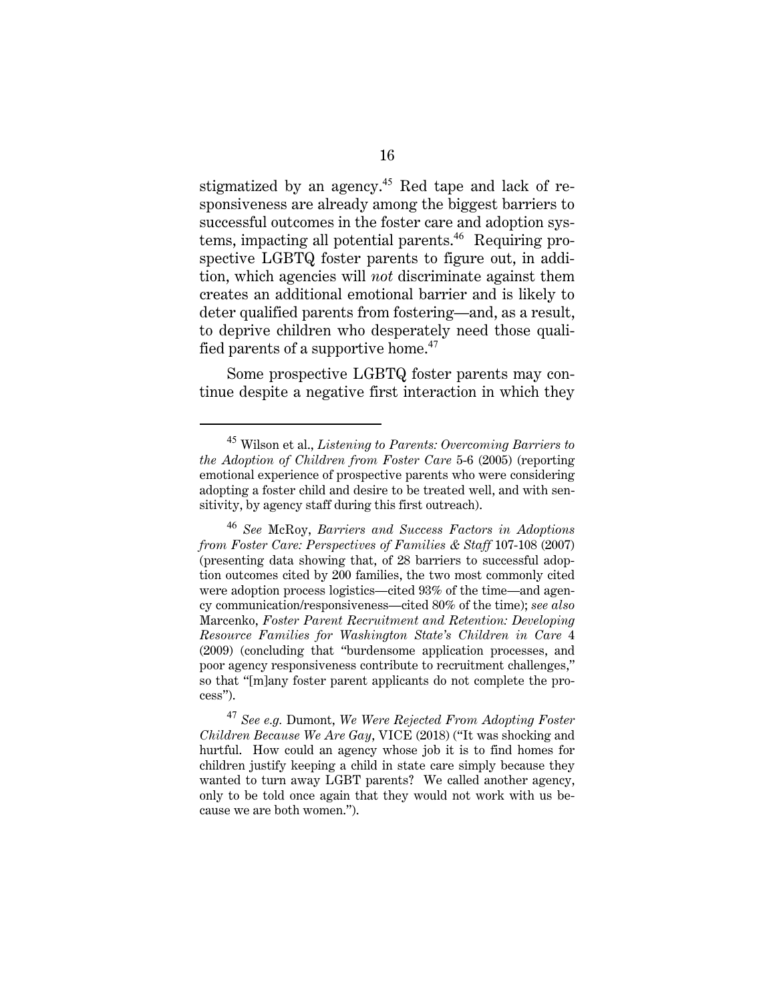stigmatized by an agency.<sup>45</sup> Red tape and lack of responsiveness are already among the biggest barriers to successful outcomes in the foster care and adoption systems, impacting all potential parents.<sup>46</sup> Requiring prospective LGBTQ foster parents to figure out, in addition, which agencies will *not* discriminate against them creates an additional emotional barrier and is likely to deter qualified parents from fostering—and, as a result, to deprive children who desperately need those qualified parents of a supportive home.<sup>47</sup>

Some prospective LGBTQ foster parents may continue despite a negative first interaction in which they

<sup>45</sup> Wilson et al., *Listening to Parents: Overcoming Barriers to the Adoption of Children from Foster Care* 5-6 (2005) (reporting emotional experience of prospective parents who were considering adopting a foster child and desire to be treated well, and with sensitivity, by agency staff during this first outreach).

<sup>46</sup> *See* McRoy, *Barriers and Success Factors in Adoptions from Foster Care: Perspectives of Families & Staff* 107-108 (2007) (presenting data showing that, of 28 barriers to successful adoption outcomes cited by 200 families, the two most commonly cited were adoption process logistics—cited 93% of the time—and agency communication/responsiveness—cited 80% of the time); *see also* Marcenko, *Foster Parent Recruitment and Retention: Developing Resource Families for Washington State's Children in Care* 4 (2009) (concluding that "burdensome application processes, and poor agency responsiveness contribute to recruitment challenges," so that "[m]any foster parent applicants do not complete the process").

<sup>47</sup> *See e.g.* Dumont, *We Were Rejected From Adopting Foster Children Because We Are Gay*, VICE (2018) ("It was shocking and hurtful. How could an agency whose job it is to find homes for children justify keeping a child in state care simply because they wanted to turn away LGBT parents? We called another agency, only to be told once again that they would not work with us because we are both women.").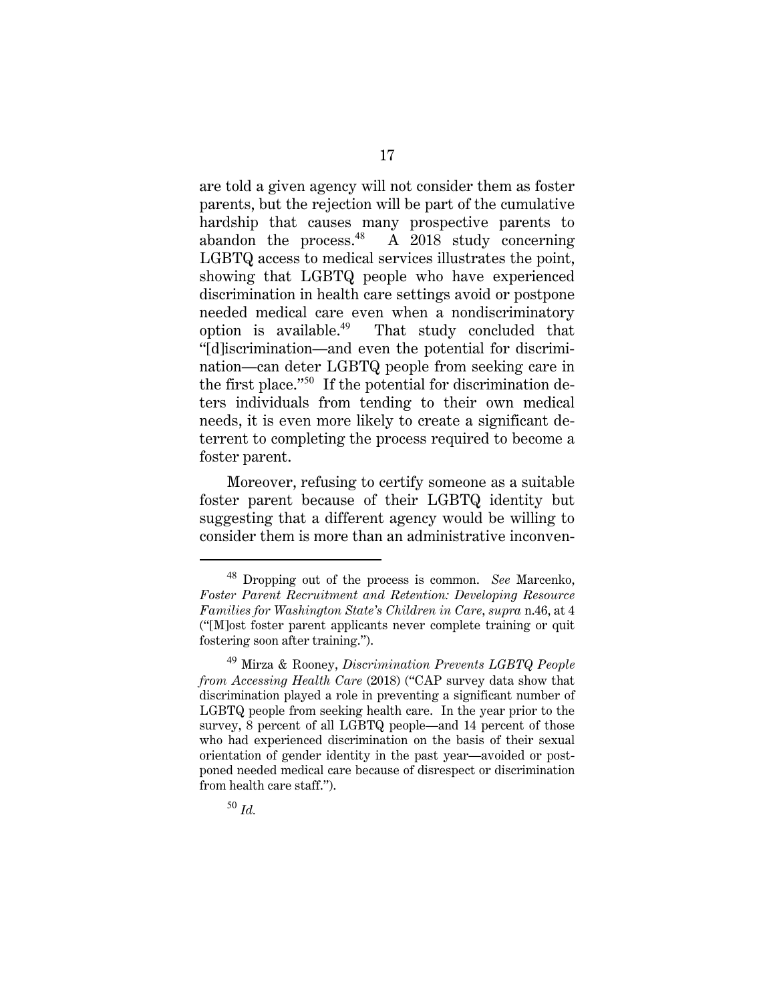are told a given agency will not consider them as foster parents, but the rejection will be part of the cumulative hardship that causes many prospective parents to abandon the process. $48$  A 2018 study concerning LGBTQ access to medical services illustrates the point, showing that LGBTQ people who have experienced discrimination in health care settings avoid or postpone needed medical care even when a nondiscriminatory option is available.<sup>49</sup> That study concluded that "[d]iscrimination—and even the potential for discrimination—can deter LGBTQ people from seeking care in the first place."<sup>50</sup> If the potential for discrimination deters individuals from tending to their own medical needs, it is even more likely to create a significant deterrent to completing the process required to become a foster parent.

Moreover, refusing to certify someone as a suitable foster parent because of their LGBTQ identity but suggesting that a different agency would be willing to consider them is more than an administrative inconven-

<sup>48</sup> Dropping out of the process is common. *See* Marcenko, *Foster Parent Recruitment and Retention: Developing Resource Families for Washington State's Children in Care*, *supra* n.46, at 4 ("[M]ost foster parent applicants never complete training or quit fostering soon after training.").

<sup>49</sup> Mirza & Rooney, *Discrimination Prevents LGBTQ People from Accessing Health Care* (2018) ("CAP survey data show that discrimination played a role in preventing a significant number of LGBTQ people from seeking health care. In the year prior to the survey, 8 percent of all LGBTQ people—and 14 percent of those who had experienced discrimination on the basis of their sexual orientation of gender identity in the past year—avoided or postponed needed medical care because of disrespect or discrimination from health care staff.").

<sup>50</sup> *Id.*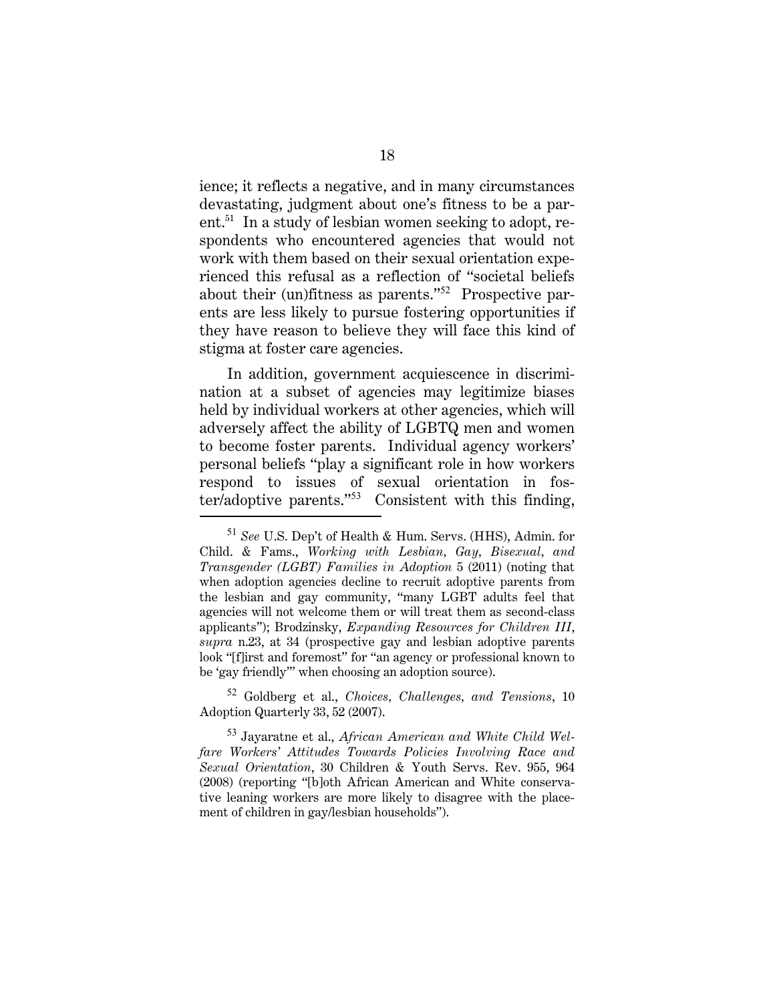ience; it reflects a negative, and in many circumstances devastating, judgment about one's fitness to be a parent.51 In a study of lesbian women seeking to adopt, respondents who encountered agencies that would not work with them based on their sexual orientation experienced this refusal as a reflection of "societal beliefs about their (un)fitness as parents."<sup>52</sup> Prospective parents are less likely to pursue fostering opportunities if they have reason to believe they will face this kind of stigma at foster care agencies.

In addition, government acquiescence in discrimination at a subset of agencies may legitimize biases held by individual workers at other agencies, which will adversely affect the ability of LGBTQ men and women to become foster parents. Individual agency workers' personal beliefs "play a significant role in how workers respond to issues of sexual orientation in foster/adoptive parents."<sup>53</sup> Consistent with this finding,

<sup>52</sup> Goldberg et al., *Choices, Challenges, and Tensions*, 10 Adoption Quarterly 33, 52 (2007).

<sup>53</sup> Jayaratne et al., *African American and White Child Welfare Workers' Attitudes Towards Policies Involving Race and Sexual Orientation*, 30 Children & Youth Servs. Rev. 955, 964 (2008) (reporting "[b]oth African American and White conservative leaning workers are more likely to disagree with the placement of children in gay/lesbian households").

<sup>51</sup> *See* U.S. Dep't of Health & Hum. Servs. (HHS), Admin. for Child. & Fams., *Working with Lesbian, Gay, Bisexual, and Transgender (LGBT) Families in Adoption* 5 (2011) (noting that when adoption agencies decline to recruit adoptive parents from the lesbian and gay community, "many LGBT adults feel that agencies will not welcome them or will treat them as second-class applicants"); Brodzinsky, *Expanding Resources for Children III*, *supra* n.23, at 34 (prospective gay and lesbian adoptive parents look "[f]irst and foremost" for "an agency or professional known to be 'gay friendly'" when choosing an adoption source).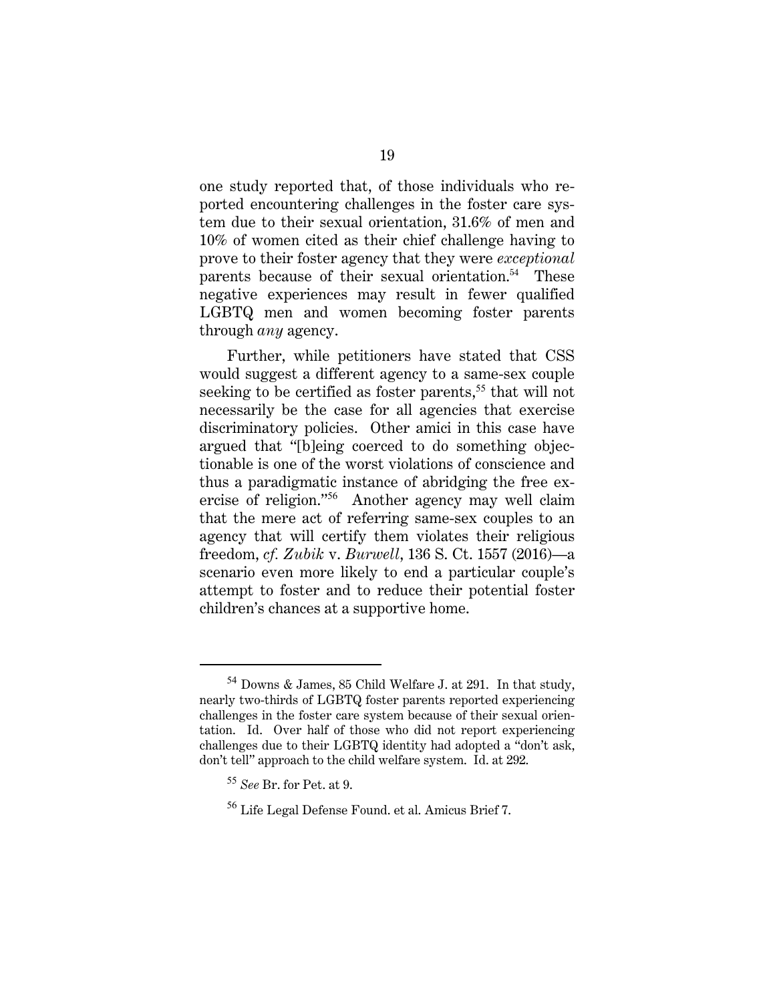one study reported that, of those individuals who reported encountering challenges in the foster care system due to their sexual orientation, 31.6% of men and 10% of women cited as their chief challenge having to prove to their foster agency that they were *exceptional* parents because of their sexual orientation.<sup>54</sup> These negative experiences may result in fewer qualified LGBTQ men and women becoming foster parents through *any* agency.

Further, while petitioners have stated that CSS would suggest a different agency to a same-sex couple seeking to be certified as foster parents,<sup>55</sup> that will not necessarily be the case for all agencies that exercise discriminatory policies. Other amici in this case have argued that "[b]eing coerced to do something objectionable is one of the worst violations of conscience and thus a paradigmatic instance of abridging the free exercise of religion."<sup>56</sup> Another agency may well claim that the mere act of referring same-sex couples to an agency that will certify them violates their religious freedom, *cf. Zubik* v. *Burwell*, 136 S. Ct. 1557 (2016)—a scenario even more likely to end a particular couple's attempt to foster and to reduce their potential foster children's chances at a supportive home.

<sup>54</sup> Downs & James, 85 Child Welfare J. at 291. In that study, nearly two-thirds of LGBTQ foster parents reported experiencing challenges in the foster care system because of their sexual orientation. Id. Over half of those who did not report experiencing challenges due to their LGBTQ identity had adopted a "don't ask, don't tell" approach to the child welfare system. Id. at 292.

<sup>55</sup> *See* Br. for Pet. at 9.

<sup>56</sup> Life Legal Defense Found. et al. Amicus Brief 7.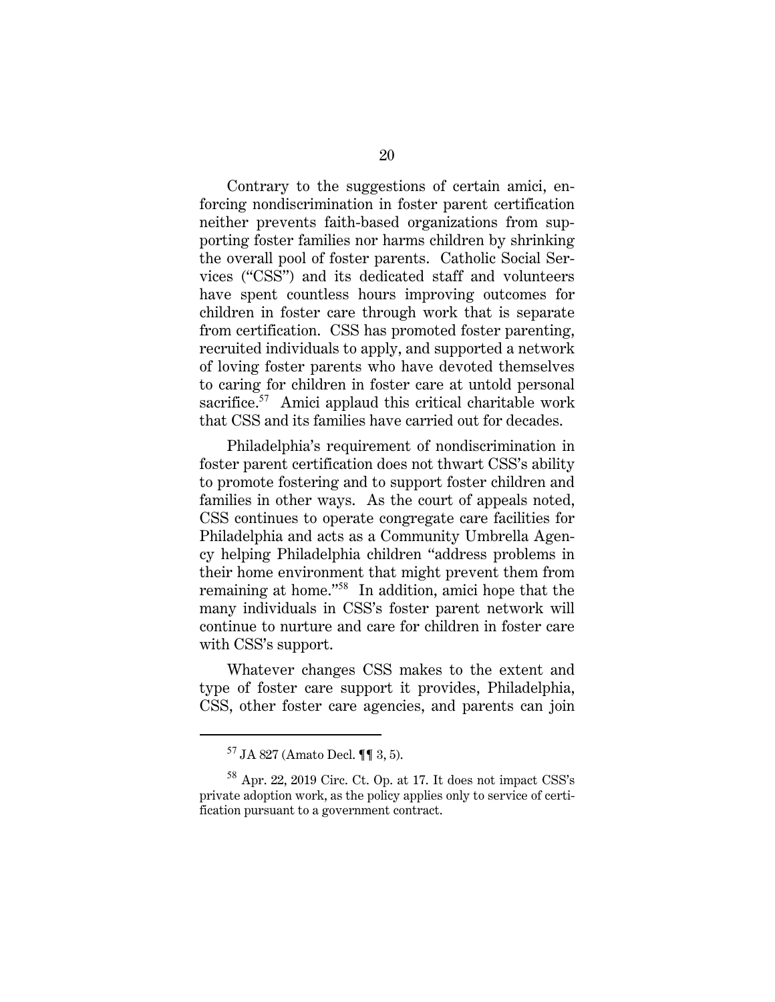Contrary to the suggestions of certain amici, enforcing nondiscrimination in foster parent certification neither prevents faith-based organizations from supporting foster families nor harms children by shrinking the overall pool of foster parents. Catholic Social Services ("CSS") and its dedicated staff and volunteers have spent countless hours improving outcomes for children in foster care through work that is separate from certification. CSS has promoted foster parenting, recruited individuals to apply, and supported a network of loving foster parents who have devoted themselves to caring for children in foster care at untold personal sacrifice.<sup>57</sup> Amici applaud this critical charitable work that CSS and its families have carried out for decades.

Philadelphia's requirement of nondiscrimination in foster parent certification does not thwart CSS's ability to promote fostering and to support foster children and families in other ways. As the court of appeals noted, CSS continues to operate congregate care facilities for Philadelphia and acts as a Community Umbrella Agency helping Philadelphia children "address problems in their home environment that might prevent them from remaining at home."<sup>58</sup> In addition, amici hope that the many individuals in CSS's foster parent network will continue to nurture and care for children in foster care with CSS's support.

Whatever changes CSS makes to the extent and type of foster care support it provides, Philadelphia, CSS, other foster care agencies, and parents can join

<sup>57</sup> JA 827 (Amato Decl. ¶¶ 3, 5).

<sup>58</sup> Apr. 22, 2019 Circ. Ct. Op. at 17. It does not impact CSS's private adoption work, as the policy applies only to service of certification pursuant to a government contract.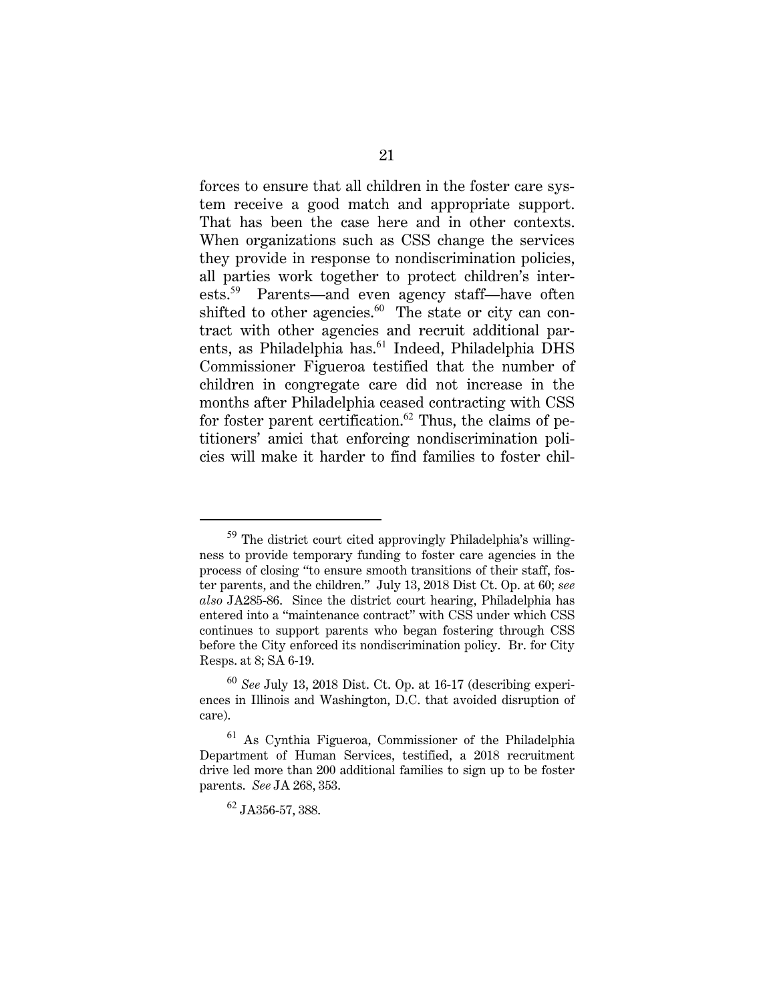forces to ensure that all children in the foster care system receive a good match and appropriate support. That has been the case here and in other contexts. When organizations such as CSS change the services they provide in response to nondiscrimination policies, all parties work together to protect children's interests.<sup>59</sup> Parents—and even agency staff—have often shifted to other agencies. $60$  The state or city can contract with other agencies and recruit additional parents, as Philadelphia has.<sup>61</sup> Indeed, Philadelphia DHS Commissioner Figueroa testified that the number of children in congregate care did not increase in the months after Philadelphia ceased contracting with CSS for foster parent certification.<sup>62</sup> Thus, the claims of petitioners' amici that enforcing nondiscrimination policies will make it harder to find families to foster chil-

<sup>59</sup> The district court cited approvingly Philadelphia's willingness to provide temporary funding to foster care agencies in the process of closing "to ensure smooth transitions of their staff, foster parents, and the children." July 13, 2018 Dist Ct. Op. at 60; *see also* JA285-86. Since the district court hearing, Philadelphia has entered into a "maintenance contract" with CSS under which CSS continues to support parents who began fostering through CSS before the City enforced its nondiscrimination policy. Br. for City Resps. at 8; SA 6-19.

<sup>60</sup> *See* July 13, 2018 Dist. Ct. Op. at 16-17 (describing experiences in Illinois and Washington, D.C. that avoided disruption of care).

<sup>61</sup> As Cynthia Figueroa, Commissioner of the Philadelphia Department of Human Services, testified, a 2018 recruitment drive led more than 200 additional families to sign up to be foster parents. *See* JA 268, 353.

<sup>62</sup> JA356-57, 388.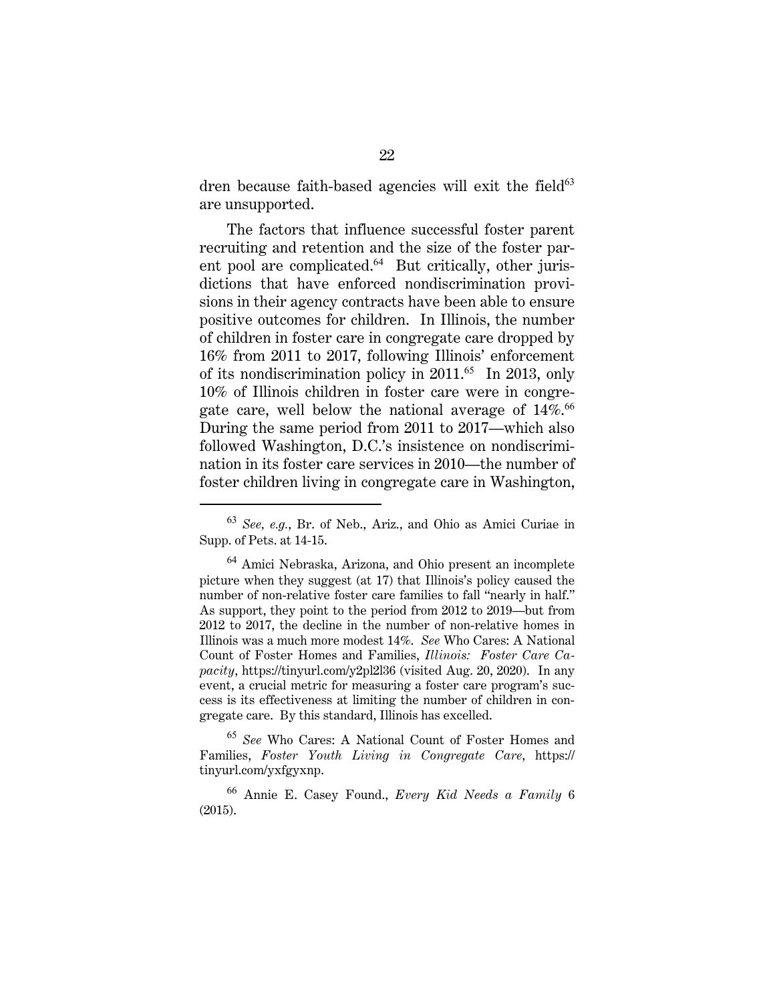dren because faith-based agencies will exit the field $63$ are unsupported.

The factors that influence successful foster parent recruiting and retention and the size of the foster parent pool are complicated.<sup>64</sup> But critically, other jurisdictions that have enforced nondiscrimination provisions in their agency contracts have been able to ensure positive outcomes for children. In Illinois, the number of children in foster care in congregate care dropped by 16% from 2011 to 2017, following Illinois' enforcement of its nondiscrimination policy in  $2011<sup>65</sup>$  In 2013, only 10% of Illinois children in foster care were in congregate care, well below the national average of  $14\%$ <sup>66</sup> During the same period from 2011 to 2017—which also followed Washington, D.C.'s insistence on nondiscrimination in its foster care services in 2010—the number of foster children living in congregate care in Washington,

<sup>63</sup> *See, e.g.*, Br. of Neb., Ariz., and Ohio as Amici Curiae in Supp. of Pets. at 14-15.

<sup>64</sup> Amici Nebraska, Arizona, and Ohio present an incomplete picture when they suggest (at 17) that Illinois's policy caused the number of non-relative foster care families to fall "nearly in half." As support, they point to the period from 2012 to 2019—but from 2012 to 2017, the decline in the number of non-relative homes in Illinois was a much more modest 14%. *See* Who Cares: A National Count of Foster Homes and Families, *Illinois: Foster Care Capacity*, https://tinyurl.com/y2pl2l36 (visited Aug. 20, 2020). In any event, a crucial metric for measuring a foster care program's success is its effectiveness at limiting the number of children in congregate care. By this standard, Illinois has excelled.

<sup>65</sup> *See* Who Cares: A National Count of Foster Homes and Families, *Foster Youth Living in Congregate Care*, https:// tinyurl.com/yxfgyxnp.

<sup>66</sup> Annie E. Casey Found., *Every Kid Needs a Family* 6 (2015).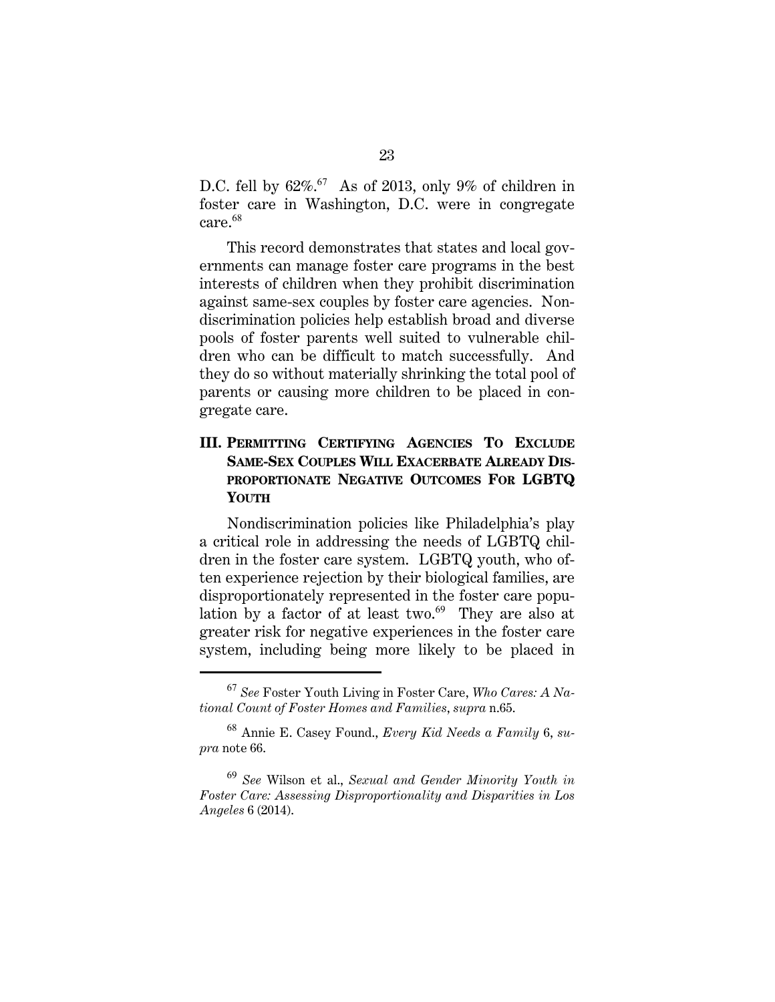D.C. fell by  $62\%$ .<sup>67</sup> As of 2013, only 9% of children in foster care in Washington, D.C. were in congregate care.<sup>68</sup>

This record demonstrates that states and local governments can manage foster care programs in the best interests of children when they prohibit discrimination against same-sex couples by foster care agencies. Nondiscrimination policies help establish broad and diverse pools of foster parents well suited to vulnerable children who can be difficult to match successfully. And they do so without materially shrinking the total pool of parents or causing more children to be placed in congregate care.

### **III. PERMITTING CERTIFYING AGENCIES TO EXCLUDE SAME-SEX COUPLES WILL EXACERBATE ALREADY DIS-PROPORTIONATE NEGATIVE OUTCOMES FOR LGBTQ YOUTH**

Nondiscrimination policies like Philadelphia's play a critical role in addressing the needs of LGBTQ children in the foster care system. LGBTQ youth, who often experience rejection by their biological families, are disproportionately represented in the foster care population by a factor of at least two. $69$  They are also at greater risk for negative experiences in the foster care system, including being more likely to be placed in

<sup>67</sup> *See* Foster Youth Living in Foster Care, *Who Cares: A National Count of Foster Homes and Families*, *supra* n.65.

<sup>68</sup> Annie E. Casey Found., *Every Kid Needs a Family* 6, *supra* note 66.

<sup>69</sup> *See* Wilson et al., *Sexual and Gender Minority Youth in Foster Care: Assessing Disproportionality and Disparities in Los Angeles* 6 (2014).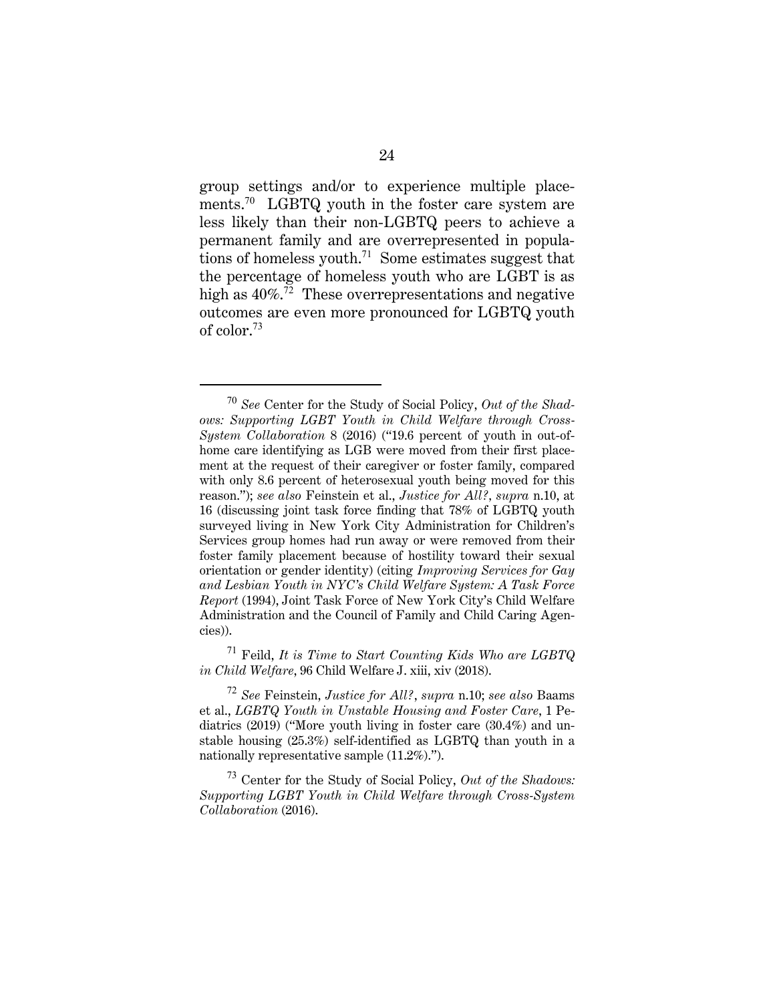group settings and/or to experience multiple placements.<sup>70</sup> LGBTQ youth in the foster care system are less likely than their non-LGBTQ peers to achieve a permanent family and are overrepresented in populations of homeless youth.<sup>71</sup> Some estimates suggest that the percentage of homeless youth who are LGBT is as high as  $40\%$ .<sup>72</sup> These overrepresentations and negative outcomes are even more pronounced for LGBTQ youth of color.<sup>73</sup>

<sup>71</sup> Feild, *It is Time to Start Counting Kids Who are LGBTQ in Child Welfare*, 96 Child Welfare J. xiii, xiv (2018).

<sup>72</sup> *See* Feinstein, *Justice for All?*, *supra* n.10; *see also* Baams et al., *LGBTQ Youth in Unstable Housing and Foster Care*, 1 Pediatrics (2019) ("More youth living in foster care (30.4%) and unstable housing (25.3%) self-identified as LGBTQ than youth in a nationally representative sample (11.2%).").

<sup>73</sup> Center for the Study of Social Policy, *Out of the Shadows: Supporting LGBT Youth in Child Welfare through Cross-System Collaboration* (2016).

<sup>70</sup> *See* Center for the Study of Social Policy, *Out of the Shadows: Supporting LGBT Youth in Child Welfare through Cross-System Collaboration* 8 (2016) ("19.6 percent of youth in out-ofhome care identifying as LGB were moved from their first placement at the request of their caregiver or foster family, compared with only 8.6 percent of heterosexual youth being moved for this reason."); *see also* Feinstein et al., *Justice for All?, supra* n.10, at 16 (discussing joint task force finding that 78% of LGBTQ youth surveyed living in New York City Administration for Children's Services group homes had run away or were removed from their foster family placement because of hostility toward their sexual orientation or gender identity) (citing *Improving Services for Gay and Lesbian Youth in NYC's Child Welfare System: A Task Force Report* (1994), Joint Task Force of New York City's Child Welfare Administration and the Council of Family and Child Caring Agencies)).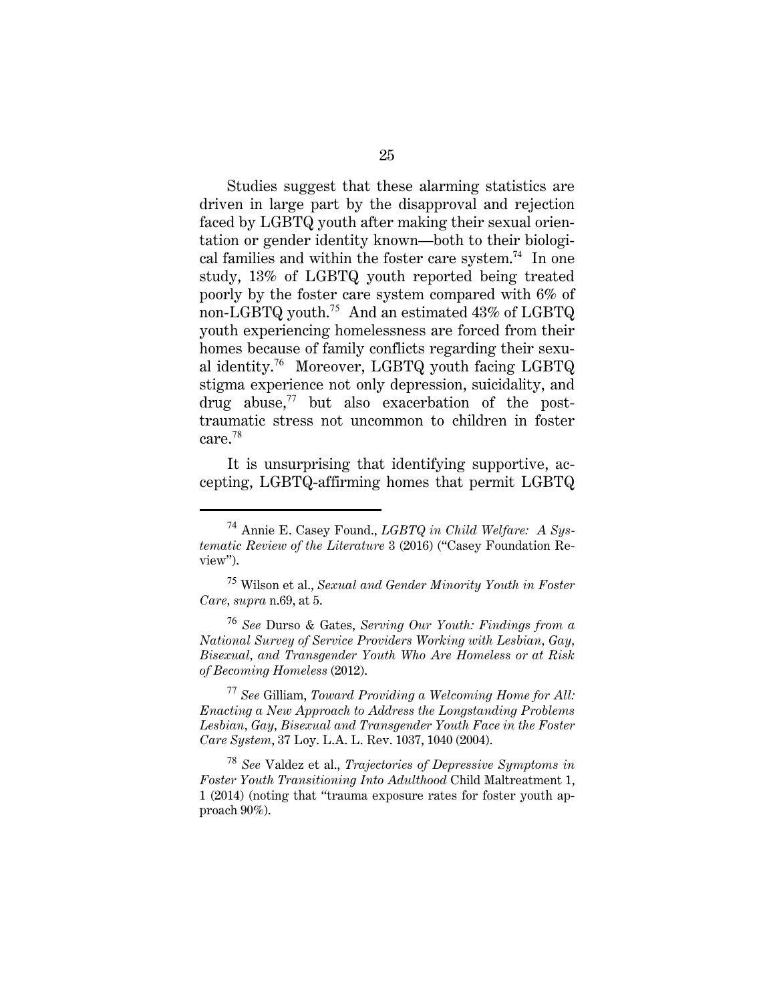Studies suggest that these alarming statistics are driven in large part by the disapproval and rejection faced by LGBTQ youth after making their sexual orientation or gender identity known—both to their biological families and within the foster care system.<sup>74</sup> In one study, 13% of LGBTQ youth reported being treated poorly by the foster care system compared with 6% of non-LGBTQ youth.<sup>75</sup> And an estimated 43% of LGBTQ youth experiencing homelessness are forced from their homes because of family conflicts regarding their sexual identity.<sup>76</sup> Moreover, LGBTQ youth facing LGBTQ stigma experience not only depression, suicidality, and drug abuse, $^{77}$  but also exacerbation of the posttraumatic stress not uncommon to children in foster care.<sup>78</sup>

It is unsurprising that identifying supportive, accepting, LGBTQ-affirming homes that permit LGBTQ

<sup>76</sup> *See* Durso & Gates, *Serving Our Youth: Findings from a National Survey of Service Providers Working with Lesbian, Gay, Bisexual, and Transgender Youth Who Are Homeless or at Risk of Becoming Homeless* (2012).

<sup>77</sup> *See* Gilliam, *Toward Providing a Welcoming Home for All: Enacting a New Approach to Address the Longstanding Problems Lesbian, Gay, Bisexual and Transgender Youth Face in the Foster Care System*, 37 Loy. L.A. L. Rev. 1037, 1040 (2004).

<sup>78</sup> *See* Valdez et al., *Trajectories of Depressive Symptoms in Foster Youth Transitioning Into Adulthood* Child Maltreatment 1, 1 (2014) (noting that "trauma exposure rates for foster youth approach 90%).

<sup>74</sup> Annie E. Casey Found., *LGBTQ in Child Welfare: A Systematic Review of the Literature* 3 (2016) ("Casey Foundation Review").

<sup>75</sup> Wilson et al., *Sexual and Gender Minority Youth in Foster Care, supra* n.69, at 5.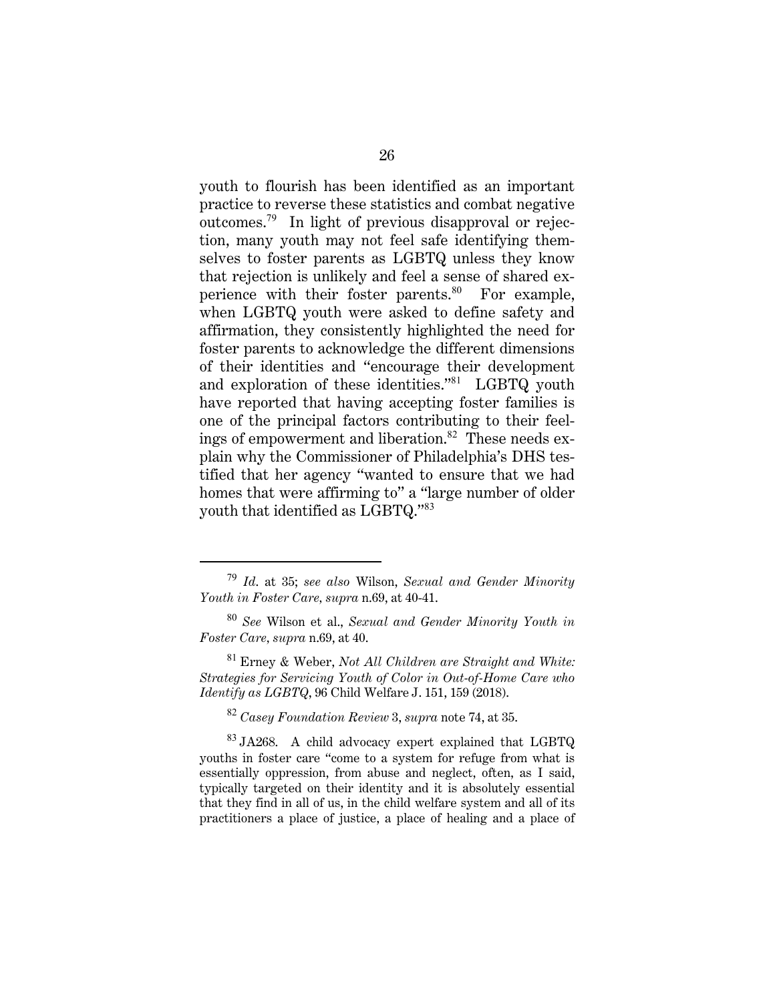youth to flourish has been identified as an important practice to reverse these statistics and combat negative outcomes.<sup>79</sup> In light of previous disapproval or rejection, many youth may not feel safe identifying themselves to foster parents as LGBTQ unless they know that rejection is unlikely and feel a sense of shared experience with their foster parents. $80$  For example, when LGBTQ youth were asked to define safety and affirmation, they consistently highlighted the need for foster parents to acknowledge the different dimensions of their identities and "encourage their development and exploration of these identities."<sup>81</sup> LGBTQ youth have reported that having accepting foster families is one of the principal factors contributing to their feelings of empowerment and liberation. $82$  These needs explain why the Commissioner of Philadelphia's DHS testified that her agency "wanted to ensure that we had homes that were affirming to" a "large number of older youth that identified as LGBTQ."<sup>83</sup>

<sup>82</sup> *Casey Foundation Review* 3, *supra* note 74, at 35.

 $83$  JA268. A child advocacy expert explained that LGBTQ youths in foster care "come to a system for refuge from what is essentially oppression, from abuse and neglect, often, as I said, typically targeted on their identity and it is absolutely essential that they find in all of us, in the child welfare system and all of its practitioners a place of justice, a place of healing and a place of

<sup>79</sup> *Id*. at 35; *see also* Wilson, *Sexual and Gender Minority Youth in Foster Care, supra* n.69, at 40-41.

<sup>80</sup> *See* Wilson et al., *Sexual and Gender Minority Youth in Foster Care, supra* n.69, at 40.

<sup>81</sup> Erney & Weber, *Not All Children are Straight and White: Strategies for Servicing Youth of Color in Out-of-Home Care who Identify as LGBTQ*, 96 Child Welfare J. 151, 159 (2018).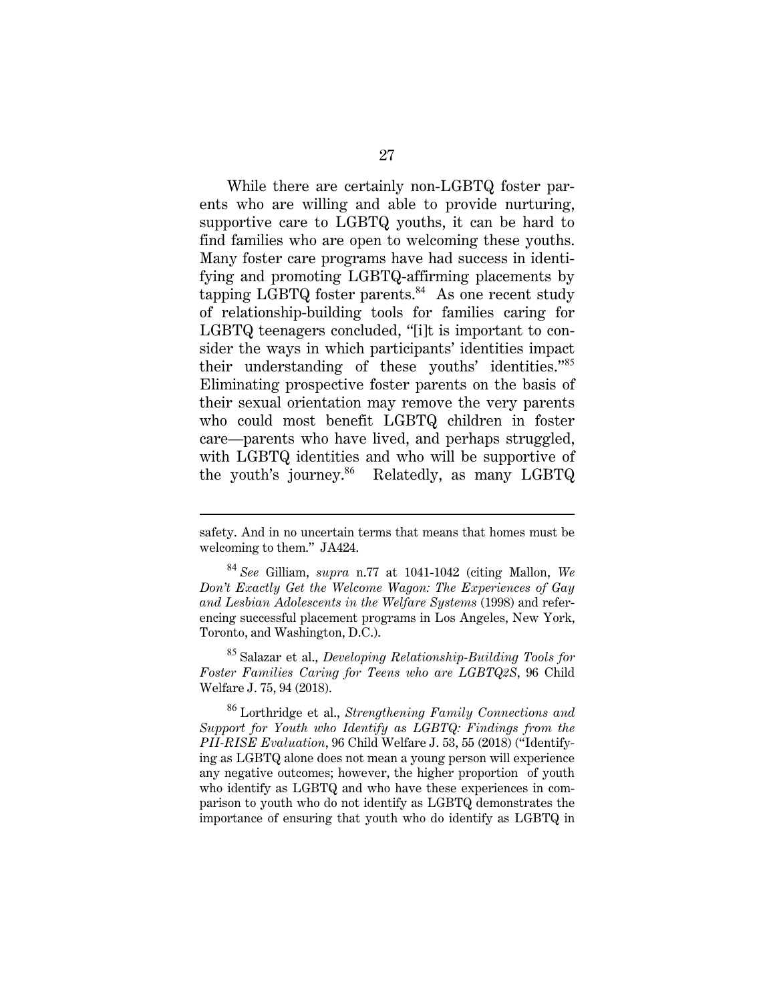While there are certainly non-LGBTQ foster parents who are willing and able to provide nurturing, supportive care to LGBTQ youths, it can be hard to find families who are open to welcoming these youths. Many foster care programs have had success in identifying and promoting LGBTQ-affirming placements by tapping LGBTQ foster parents. $84$  As one recent study of relationship-building tools for families caring for LGBTQ teenagers concluded, "[i]t is important to consider the ways in which participants' identities impact their understanding of these youths' identities."<sup>85</sup> Eliminating prospective foster parents on the basis of their sexual orientation may remove the very parents who could most benefit LGBTQ children in foster care—parents who have lived, and perhaps struggled, with LGBTQ identities and who will be supportive of the youth's journey.<sup>86</sup> Relatedly, as many LGBTQ

<sup>85</sup> Salazar et al., *Developing Relationship-Building Tools for Foster Families Caring for Teens who are LGBTQ2S*, 96 Child Welfare J. 75, 94 (2018).

<sup>86</sup> Lorthridge et al., *Strengthening Family Connections and Support for Youth who Identify as LGBTQ: Findings from the PII-RISE Evaluation*, 96 Child Welfare J. 53, 55 (2018) ("Identifying as LGBTQ alone does not mean a young person will experience any negative outcomes; however, the higher proportion of youth who identify as LGBTQ and who have these experiences in comparison to youth who do not identify as LGBTQ demonstrates the importance of ensuring that youth who do identify as LGBTQ in

safety. And in no uncertain terms that means that homes must be welcoming to them." JA424.

<sup>84</sup> *See* Gilliam, *supra* n.77 at 1041-1042 (citing Mallon, *We Don't Exactly Get the Welcome Wagon: The Experiences of Gay and Lesbian Adolescents in the Welfare Systems* (1998) and referencing successful placement programs in Los Angeles, New York, Toronto, and Washington, D.C.).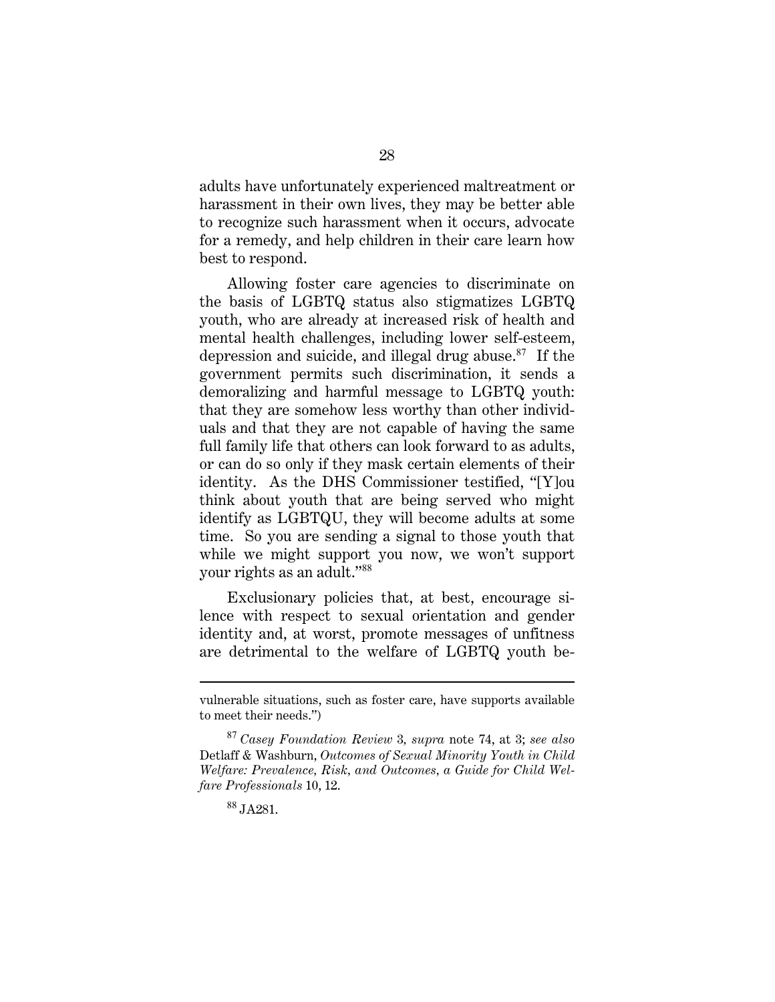adults have unfortunately experienced maltreatment or harassment in their own lives, they may be better able to recognize such harassment when it occurs, advocate for a remedy, and help children in their care learn how best to respond.

Allowing foster care agencies to discriminate on the basis of LGBTQ status also stigmatizes LGBTQ youth, who are already at increased risk of health and mental health challenges, including lower self-esteem, depression and suicide, and illegal drug abuse. $87$  If the government permits such discrimination, it sends a demoralizing and harmful message to LGBTQ youth: that they are somehow less worthy than other individuals and that they are not capable of having the same full family life that others can look forward to as adults, or can do so only if they mask certain elements of their identity. As the DHS Commissioner testified, "[Y]ou think about youth that are being served who might identify as LGBTQU, they will become adults at some time. So you are sending a signal to those youth that while we might support you now, we won't support your rights as an adult."<sup>88</sup>

Exclusionary policies that, at best, encourage silence with respect to sexual orientation and gender identity and, at worst, promote messages of unfitness are detrimental to the welfare of LGBTQ youth be-

vulnerable situations, such as foster care, have supports available to meet their needs.")

<sup>87</sup> *Casey Foundation Review* 3*, supra* note 74, at 3; *see also* Detlaff & Washburn, *Outcomes of Sexual Minority Youth in Child Welfare: Prevalence, Risk, and Outcomes, a Guide for Child Welfare Professionals* 10, 12.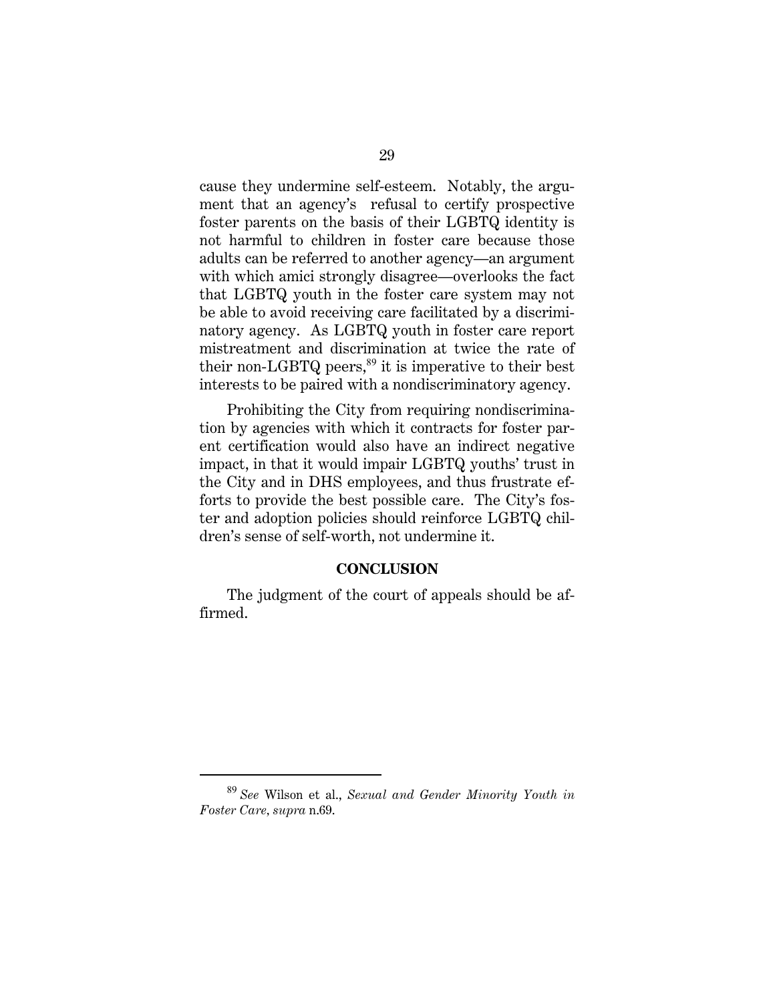cause they undermine self-esteem. Notably, the argument that an agency's refusal to certify prospective foster parents on the basis of their LGBTQ identity is not harmful to children in foster care because those adults can be referred to another agency—an argument with which amici strongly disagree—overlooks the fact that LGBTQ youth in the foster care system may not be able to avoid receiving care facilitated by a discriminatory agency. As LGBTQ youth in foster care report mistreatment and discrimination at twice the rate of their non-LGBTQ peers,<sup>89</sup> it is imperative to their best interests to be paired with a nondiscriminatory agency.

Prohibiting the City from requiring nondiscrimination by agencies with which it contracts for foster parent certification would also have an indirect negative impact, in that it would impair LGBTQ youths' trust in the City and in DHS employees, and thus frustrate efforts to provide the best possible care. The City's foster and adoption policies should reinforce LGBTQ children's sense of self-worth, not undermine it.

#### **CONCLUSION**

The judgment of the court of appeals should be affirmed.

<sup>89</sup> *See* Wilson et al., *Sexual and Gender Minority Youth in Foster Care, supra* n.69.